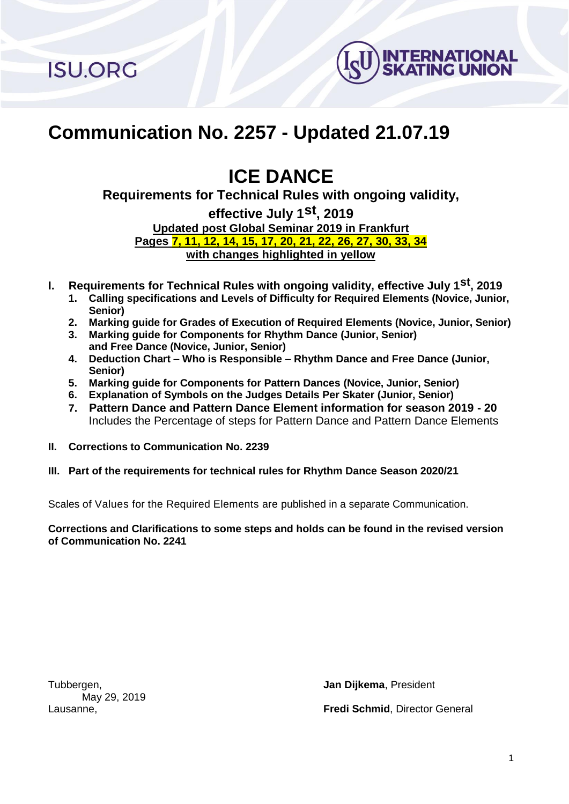**ISU.ORG** 



# **Communication No. 2257 - Updated 21.07.19**

# **ICE DANCE**

**Requirements for Technical Rules with ongoing validity,** 

**effective July 1 st , 2019 Updated post Global Seminar 2019 in Frankfurt Pages 7, 11, 12, 14, 15, 17, 20, 21, 22, 26, 27, 30, 33, 34 with changes highlighted in yellow**

- **I. Requirements for Technical Rules with ongoing validity, effective July 1 st , 2019**
	- **1. Calling specifications and Levels of Difficulty for Required Elements (Novice, Junior, Senior)**
	- **2. Marking guide for Grades of Execution of Required Elements (Novice, Junior, Senior)**
	- **3. Marking guide for Components for Rhythm Dance (Junior, Senior) and Free Dance (Novice, Junior, Senior)**
	- **4. Deduction Chart – Who is Responsible – Rhythm Dance and Free Dance (Junior, Senior)**
	- **5. Marking guide for Components for Pattern Dances (Novice, Junior, Senior)**
	- **6. Explanation of Symbols on the Judges Details Per Skater (Junior, Senior)**
	- **7. Pattern Dance and Pattern Dance Element information for season 2019 - 20**  Includes the Percentage of steps for Pattern Dance and Pattern Dance Elements
- **II. Corrections to Communication No. 2239**
- **III. Part of the requirements for technical rules for Rhythm Dance Season 2020/21**

Scales of Values for the Required Elements are published in a separate Communication.

**Corrections and Clarifications to some steps and holds can be found in the revised version of Communication No. 2241**

May 29, 2019

Tubbergen, **Jan Dijkema**, President Lausanne, **Fredi Schmid**, Director General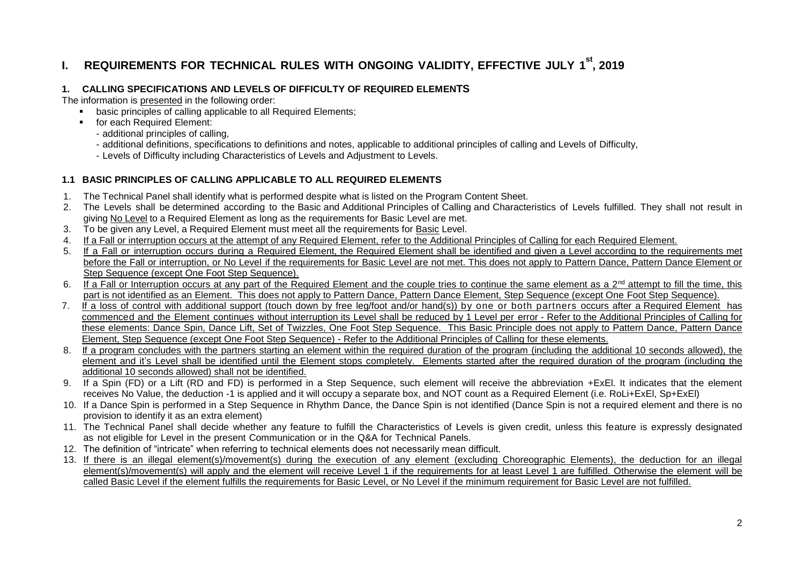# **I. REQUIREMENTS FOR TECHNICAL RULES WITH ONGOING VALIDITY, EFFECTIVE JULY 1 st, 2019**

#### **1. CALLING SPECIFICATIONS AND LEVELS OF DIFFICULTY OF REQUIRED ELEMENTS**

The information is presented in the following order:

- basic principles of calling applicable to all Required Elements:
- **for each Required Element:** 
	- additional principles of calling,
	- additional definitions, specifications to definitions and notes, applicable to additional principles of calling and Levels of Difficulty,
	- Levels of Difficulty including Characteristics of Levels and Adjustment to Levels.

#### **1.1 BASIC PRINCIPLES OF CALLING APPLICABLE TO ALL REQUIRED ELEMENTS**

- 1. The Technical Panel shall identify what is performed despite what is listed on the Program Content Sheet.
- 2. The Levels shall be determined according to the Basic and Additional Principles of Calling and Characteristics of Levels fulfilled. They shall not result in giving No Level to a Required Element as long as the requirements for Basic Level are met.
- 3. To be given any Level, a Required Element must meet all the requirements for Basic Level.
- 4. If a Fall or interruption occurs at the attempt of any Required Element, refer to the Additional Principles of Calling for each Required Element.
- 5. If a Fall or interruption occurs during a Required Element, the Required Element shall be identified and given a Level according to the requirements met before the Fall or interruption, or No Level if the requirements for Basic Level are not met. This does not apply to Pattern Dance, Pattern Dance Element or Step Sequence (except One Foot Step Sequence).
- 6. If a Fall or Interruption occurs at any part of the Required Element and the couple tries to continue the same element as a  $2^{nd}$  attempt to fill the time, this part is not identified as an Element. This does not apply to Pattern Dance, Pattern Dance Element, Step Sequence (except One Foot Step Sequence).
- 7. If a loss of control with additional support (touch down by free leg/foot and/or hand(s)) by one or both partners occurs after a Required Element has commenced and the Element continues without interruption its Level shall be reduced by 1 Level per error - Refer to the Additional Principles of Calling for these elements: Dance Spin, Dance Lift, Set of Twizzles, One Foot Step Sequence. This Basic Principle does not apply to Pattern Dance, Pattern Dance Element, Step Sequence (except One Foot Step Sequence) - Refer to the Additional Principles of Calling for these elements.
- 8. If a program concludes with the partners starting an element within the required duration of the program (including the additional 10 seconds allowed), the element and it's Level shall be identified until the Element stops completely. Elements started after the required duration of the program (including the additional 10 seconds allowed) shall not be identified.
- 9. If a Spin (FD) or a Lift (RD and FD) is performed in a Step Sequence, such element will receive the abbreviation +ExEl. It indicates that the element receives No Value, the deduction -1 is applied and it will occupy a separate box, and NOT count as a Required Element (i.e. RoLi+ExEl, Sp+ExEl)
- 10. If a Dance Spin is performed in a Step Sequence in Rhythm Dance, the Dance Spin is not identified (Dance Spin is not a required element and there is no provision to identify it as an extra element)
- 11. The Technical Panel shall decide whether any feature to fulfill the Characteristics of Levels is given credit, unless this feature is expressly designated as not eligible for Level in the present Communication or in the Q&A for Technical Panels.
- 12. The definition of "intricate" when referring to technical elements does not necessarily mean difficult.
- 13. If there is an illegal element(s)/movement(s) during the execution of any element (excluding Choreographic Elements), the deduction for an illegal element(s)/movement(s) will apply and the element will receive Level 1 if the requirements for at least Level 1 are fulfilled. Otherwise the element will be called Basic Level if the element fulfills the requirements for Basic Level, or No Level if the minimum requirement for Basic Level are not fulfilled.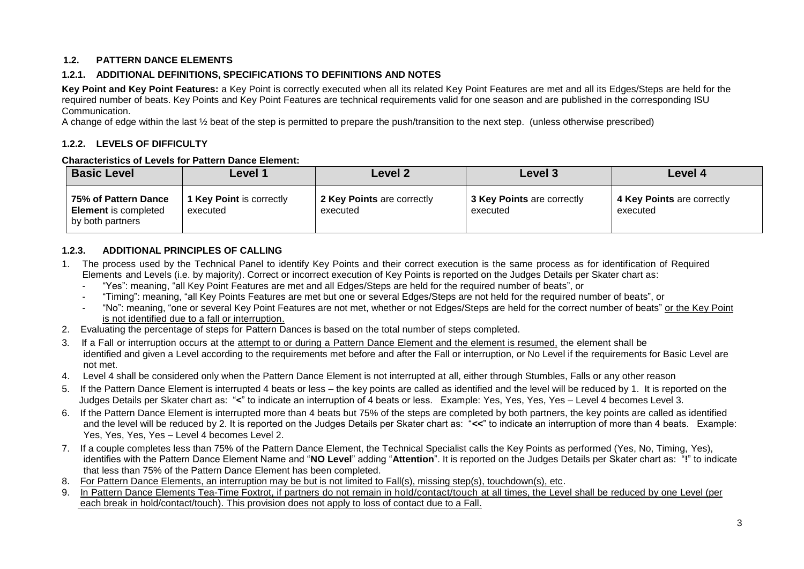# **1.2. PATTERN DANCE ELEMENTS**

# **1.2.1. ADDITIONAL DEFINITIONS, SPECIFICATIONS TO DEFINITIONS AND NOTES**

**Key Point and Key Point Features:** a Key Point is correctly executed when all its related Key Point Features are met and all its Edges/Steps are held for the required number of beats. Key Points and Key Point Features are technical requirements valid for one season and are published in the corresponding ISU Communication.

A change of edge within the last ½ beat of the step is permitted to prepare the push/transition to the next step. (unless otherwise prescribed)

#### **1.2.2. LEVELS OF DIFFICULTY**

#### **Characteristics of Levels for Pattern Dance Element:**

| <b>Basic Level</b>                                                      | ∠evel 1                                     | Level 2                                | Level 3                                | Level 4                                |
|-------------------------------------------------------------------------|---------------------------------------------|----------------------------------------|----------------------------------------|----------------------------------------|
| 75% of Pattern Dance<br><b>Element</b> is completed<br>by both partners | <b>1 Key Point is correctly</b><br>executed | 2 Key Points are correctly<br>executed | 3 Key Points are correctly<br>executed | 4 Key Points are correctly<br>executed |

# **1.2.3. ADDITIONAL PRINCIPLES OF CALLING**

- 1. The process used by the Technical Panel to identify Key Points and their correct execution is the same process as for identification of Required Elements and Levels (i.e. by majority). Correct or incorrect execution of Key Points is reported on the Judges Details per Skater chart as:
	- "Yes": meaning, "all Key Point Features are met and all Edges/Steps are held for the required number of beats", or
	- "Timing": meaning, "all Key Points Features are met but one or several Edges/Steps are not held for the required number of beats", or
	- "No": meaning, "one or several Key Point Features are not met, whether or not Edges/Steps are held for the correct number of beats" or the Key Point is not identified due to a fall or interruption.
- 2. Evaluating the percentage of steps for Pattern Dances is based on the total number of steps completed.
- 3. If a Fall or interruption occurs at the attempt to or during a Pattern Dance Element and the element is resumed, the element shall be identified and given a Level according to the requirements met before and after the Fall or interruption, or No Level if the requirements for Basic Level are not met.
- 4. Level 4 shall be considered only when the Pattern Dance Element is not interrupted at all, either through Stumbles, Falls or any other reason
- 5. If the Pattern Dance Element is interrupted 4 beats or less the key points are called as identified and the level will be reduced by 1. It is reported on the Judges Details per Skater chart as: "**<**" to indicate an interruption of 4 beats or less. Example: Yes, Yes, Yes, Yes – Level 4 becomes Level 3.
- 6. If the Pattern Dance Element is interrupted more than 4 beats but 75% of the steps are completed by both partners, the key points are called as identified and the level will be reduced by 2. It is reported on the Judges Details per Skater chart as: "**<<**" to indicate an interruption of more than 4 beats. Example: Yes, Yes, Yes, Yes – Level 4 becomes Level 2.
- 7. If a couple completes less than 75% of the Pattern Dance Element, the Technical Specialist calls the Key Points as performed (Yes, No, Timing, Yes), identifies with the Pattern Dance Element Name and "**NO Level**" adding "**Attention**". It is reported on the Judges Details per Skater chart as: "**!**" to indicate that less than 75% of the Pattern Dance Element has been completed.
- 8. For Pattern Dance Elements, an interruption may be but is not limited to Fall(s), missing step(s), touchdown(s), etc.
- 9. In Pattern Dance Elements Tea-Time Foxtrot, if partners do not remain in hold/contact/touch at all times, the Level shall be reduced by one Level (per each break in hold/contact/touch). This provision does not apply to loss of contact due to a Fall.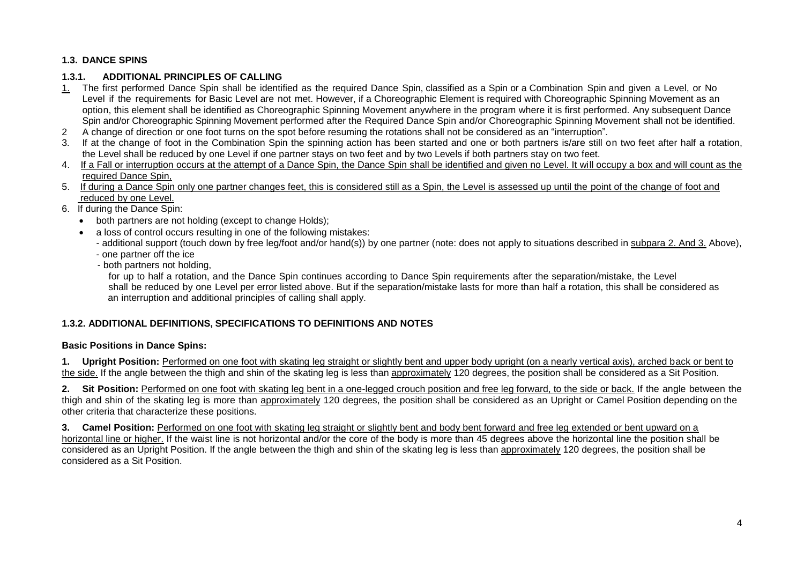# **1.3. DANCE SPINS**

# **1.3.1. ADDITIONAL PRINCIPLES OF CALLING**

- 1. The first performed Dance Spin shall be identified as the required Dance Spin, classified as a Spin or a Combination Spin and given a Level, or No Level if the requirements for Basic Level are not met. However, if a Choreographic Element is required with Choreographic Spinning Movement as an option, this element shall be identified as Choreographic Spinning Movement anywhere in the program where it is first performed. Any subsequent Dance Spin and/or Choreographic Spinning Movement performed after the Required Dance Spin and/or Choreographic Spinning Movement shall not be identified.
- 2 A change of direction or one foot turns on the spot before resuming the rotations shall not be considered as an "interruption".
- 3. If at the change of foot in the Combination Spin the spinning action has been started and one or both partners is/are still on two feet after half a rotation, the Level shall be reduced by one Level if one partner stays on two feet and by two Levels if both partners stay on two feet.
- 4. If a Fall or interruption occurs at the attempt of a Dance Spin, the Dance Spin shall be identified and given no Level. It will occupy a box and will count as the required Dance Spin,
- 5. If during a Dance Spin only one partner changes feet, this is considered still as a Spin, the Level is assessed up until the point of the change of foot and reduced by one Level.
- 6. If during the Dance Spin:
	- both partners are not holding (except to change Holds);
	- a loss of control occurs resulting in one of the following mistakes:
		- additional support (touch down by free leg/foot and/or hand(s)) by one partner (note: does not apply to situations described in subpara 2. And 3. Above),
		- one partner off the ice
		- both partners not holding,

 for up to half a rotation, and the Dance Spin continues according to Dance Spin requirements after the separation/mistake, the Level shall be reduced by one Level per error listed above. But if the separation/mistake lasts for more than half a rotation, this shall be considered as an interruption and additional principles of calling shall apply.

# **1.3.2. ADDITIONAL DEFINITIONS, SPECIFICATIONS TO DEFINITIONS AND NOTES**

#### **Basic Positions in Dance Spins:**

**1. Upright Position:** Performed on one foot with skating leg straight or slightly bent and upper body upright (on a nearly vertical axis), arched back or bent to the side. If the angle between the thigh and shin of the skating leg is less than approximately 120 degrees, the position shall be considered as a Sit Position.

2. Sit Position: Performed on one foot with skating leg bent in a one-legged crouch position and free leg forward, to the side or back. If the angle between the thigh and shin of the skating leg is more than approximately 120 degrees, the position shall be considered as an Upright or Camel Position depending on the other criteria that characterize these positions.

**3. Camel Position:** Performed on one foot with skating leg straight or slightly bent and body bent forward and free leg extended or bent upward on a horizontal line or higher. If the waist line is not horizontal and/or the core of the body is more than 45 degrees above the horizontal line the position shall be considered as an Upright Position. If the angle between the thigh and shin of the skating leg is less than approximately 120 degrees, the position shall be considered as a Sit Position.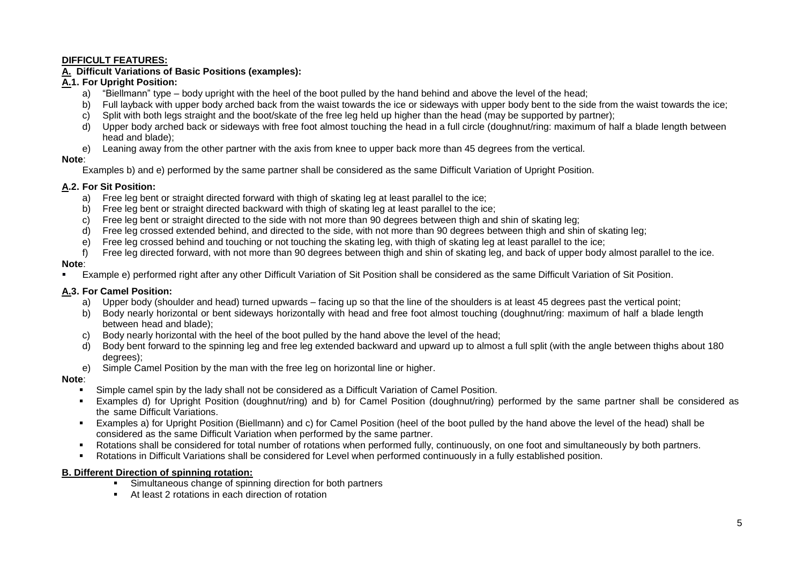#### **DIFFICULT FEATURES:**

# **A. Difficult Variations of Basic Positions (examples):**

# **A.1. For Upright Position:**

- a) "Biellmann" type body upright with the heel of the boot pulled by the hand behind and above the level of the head;
- b) Full layback with upper body arched back from the waist towards the ice or sideways with upper body bent to the side from the waist towards the ice;
- c) Split with both legs straight and the boot/skate of the free leg held up higher than the head (may be supported by partner);
- d) Upper body arched back or sideways with free foot almost touching the head in a full circle (doughnut/ring: maximum of half a blade length between head and blade);
- e) Leaning away from the other partner with the axis from knee to upper back more than 45 degrees from the vertical.

#### **Note**:

Examples b) and e) performed by the same partner shall be considered as the same Difficult Variation of Upright Position.

# **A.2. For Sit Position:**

- a) Free leg bent or straight directed forward with thigh of skating leg at least parallel to the ice;
- b) Free leg bent or straight directed backward with thigh of skating leg at least parallel to the ice;
- c) Free leg bent or straight directed to the side with not more than 90 degrees between thigh and shin of skating leg;
- d) Free leg crossed extended behind, and directed to the side, with not more than 90 degrees between thigh and shin of skating leg;
- e) Free leg crossed behind and touching or not touching the skating leg, with thigh of skating leg at least parallel to the ice;
- f) Free leg directed forward, with not more than 90 degrees between thigh and shin of skating leg, and back of upper body almost parallel to the ice.

# **Note**:

Example e) performed right after any other Difficult Variation of Sit Position shall be considered as the same Difficult Variation of Sit Position.

# **A.3. For Camel Position:**

- a) Upper body (shoulder and head) turned upwards facing up so that the line of the shoulders is at least 45 degrees past the vertical point;
- b) Body nearly horizontal or bent sideways horizontally with head and free foot almost touching (doughnut/ring: maximum of half a blade length between head and blade);
- c) Body nearly horizontal with the heel of the boot pulled by the hand above the level of the head;
- d) Body bent forward to the spinning leg and free leg extended backward and upward up to almost a full split (with the angle between thighs about 180 degrees);
- e) Simple Camel Position by the man with the free leg on horizontal line or higher.

# **Note**:

- Simple camel spin by the lady shall not be considered as a Difficult Variation of Camel Position.
- Examples d) for Upright Position (doughnut/ring) and b) for Camel Position (doughnut/ring) performed by the same partner shall be considered as the same Difficult Variations.
- Examples a) for Upright Position (Biellmann) and c) for Camel Position (heel of the boot pulled by the hand above the level of the head) shall be considered as the same Difficult Variation when performed by the same partner.
- Rotations shall be considered for total number of rotations when performed fully, continuously, on one foot and simultaneously by both partners.
- Rotations in Difficult Variations shall be considered for Level when performed continuously in a fully established position.

#### **B. Different Direction of spinning rotation:**

- **Simultaneous change of spinning direction for both partners**
- At least 2 rotations in each direction of rotation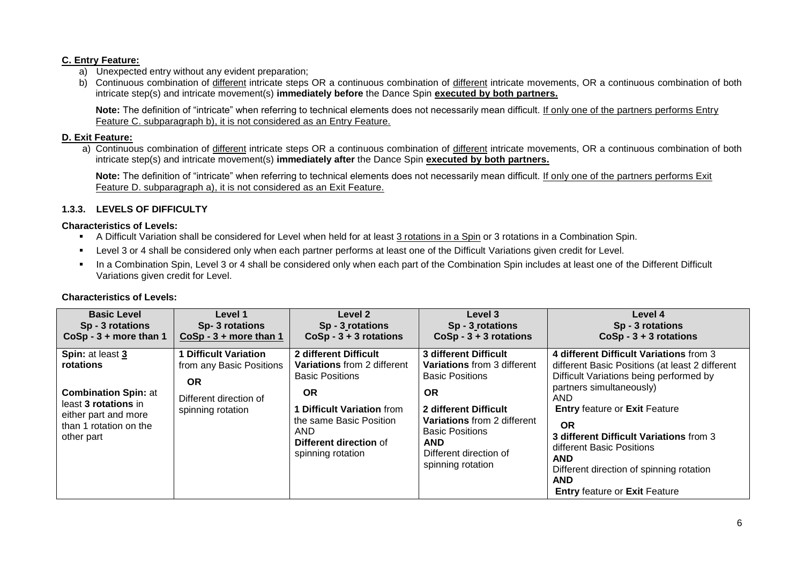#### **C. Entry Feature:**

- a) Unexpected entry without any evident preparation;
- b) Continuous combination of different intricate steps OR a continuous combination of different intricate movements, OR a continuous combination of both intricate step(s) and intricate movement(s) **immediately before** the Dance Spin **executed by both partners.**

**Note:** The definition of "intricate" when referring to technical elements does not necessarily mean difficult. If only one of the partners performs Entry Feature C. subparagraph b), it is not considered as an Entry Feature.

#### **D. Exit Feature:**

a) Continuous combination of different intricate steps OR a continuous combination of different intricate movements, OR a continuous combination of both intricate step(s) and intricate movement(s) **immediately after** the Dance Spin **executed by both partners.**

**Note:** The definition of "intricate" when referring to technical elements does not necessarily mean difficult. If only one of the partners performs Exit Feature D. subparagraph a), it is not considered as an Exit Feature.

#### **1.3.3. LEVELS OF DIFFICULTY**

#### **Characteristics of Levels:**

- A Difficult Variation shall be considered for Level when held for at least 3 rotations in a Spin or 3 rotations in a Combination Spin.
- Level 3 or 4 shall be considered only when each partner performs at least one of the Difficult Variations given credit for Level.
- In a Combination Spin, Level 3 or 4 shall be considered only when each part of the Combination Spin includes at least one of the Different Difficult Variations given credit for Level.

| <b>Basic Level</b>                                                                                                                                   | Level 1                                                                                                            | Level 2                                                                                                                                                                                                                  | Level 3                                                                                                                                                                                                                                           | Level 4                                                                                                                                                                                                                                                                                                                                                                                                                      |
|------------------------------------------------------------------------------------------------------------------------------------------------------|--------------------------------------------------------------------------------------------------------------------|--------------------------------------------------------------------------------------------------------------------------------------------------------------------------------------------------------------------------|---------------------------------------------------------------------------------------------------------------------------------------------------------------------------------------------------------------------------------------------------|------------------------------------------------------------------------------------------------------------------------------------------------------------------------------------------------------------------------------------------------------------------------------------------------------------------------------------------------------------------------------------------------------------------------------|
| Sp - 3 rotations                                                                                                                                     | Sp-3 rotations                                                                                                     | Sp - 3 rotations                                                                                                                                                                                                         | Sp - 3 rotations                                                                                                                                                                                                                                  | Sp - 3 rotations                                                                                                                                                                                                                                                                                                                                                                                                             |
| $CoSp - 3 + more than 1$                                                                                                                             | $CoSp - 3 + more than 1$                                                                                           | $CoSp - 3 + 3$ rotations                                                                                                                                                                                                 | $CoSp - 3 + 3$ rotations                                                                                                                                                                                                                          | $CoSp - 3 + 3$ rotations                                                                                                                                                                                                                                                                                                                                                                                                     |
| Spin: at least 3<br>rotations<br><b>Combination Spin: at</b><br>least 3 rotations in<br>either part and more<br>than 1 rotation on the<br>other part | <b>Difficult Variation</b><br>from any Basic Positions<br><b>OR</b><br>Different direction of<br>spinning rotation | 2 different Difficult<br><b>Variations</b> from 2 different<br><b>Basic Positions</b><br><b>OR</b><br><b>1 Difficult Variation from</b><br>the same Basic Position<br>AND<br>Different direction of<br>spinning rotation | 3 different Difficult<br><b>Variations</b> from 3 different<br><b>Basic Positions</b><br>ΟR<br>2 different Difficult<br><b>Variations</b> from 2 different<br><b>Basic Positions</b><br><b>AND</b><br>Different direction of<br>spinning rotation | 4 different Difficult Variations from 3<br>different Basic Positions (at least 2 different<br>Difficult Variations being performed by<br>partners simultaneously)<br><b>AND</b><br><b>Entry feature or Exit Feature</b><br><b>OR</b><br>3 different Difficult Variations from 3<br>different Basic Positions<br><b>AND</b><br>Different direction of spinning rotation<br><b>AND</b><br><b>Entry feature or Exit Feature</b> |

#### **Characteristics of Levels:**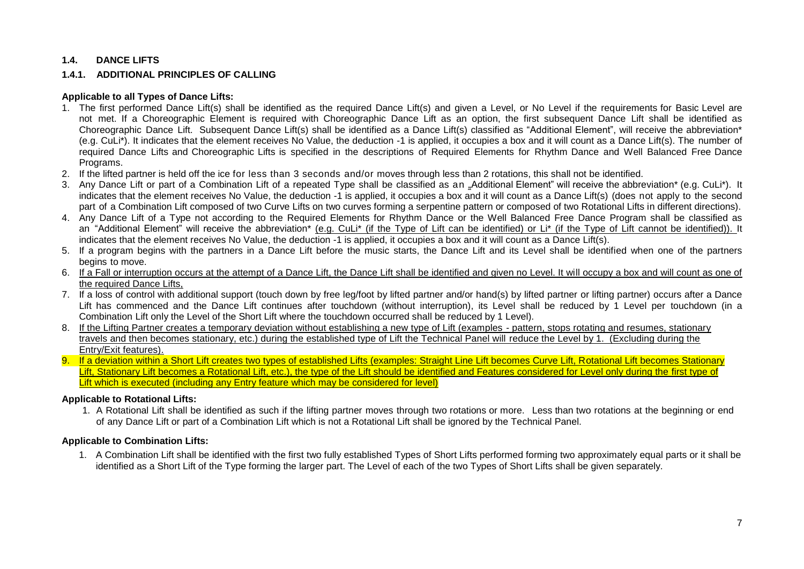# **1.4. DANCE LIFTS**

#### **1.4.1. ADDITIONAL PRINCIPLES OF CALLING**

#### **Applicable to all Types of Dance Lifts:**

- 1. The first performed Dance Lift(s) shall be identified as the required Dance Lift(s) and given a Level, or No Level if the requirements for Basic Level are not met. If a Choreographic Element is required with Choreographic Dance Lift as an option, the first subsequent Dance Lift shall be identified as Choreographic Dance Lift. Subsequent Dance Lift(s) shall be identified as a Dance Lift(s) classified as "Additional Element", will receive the abbreviation\* (e.g. CuLi\*). It indicates that the element receives No Value, the deduction -1 is applied, it occupies a box and it will count as a Dance Lift(s). The number of required Dance Lifts and Choreographic Lifts is specified in the descriptions of Required Elements for Rhythm Dance and Well Balanced Free Dance Programs.
- 2. If the lifted partner is held off the ice for less than 3 seconds and/or moves through less than 2 rotations, this shall not be identified.
- 3. Any Dance Lift or part of a Combination Lift of a repeated Type shall be classified as an "Additional Element" will receive the abbreviation\* (e.g. CuLi\*). It indicates that the element receives No Value, the deduction -1 is applied, it occupies a box and it will count as a Dance Lift(s) (does not apply to the second part of a Combination Lift composed of two Curve Lifts on two curves forming a serpentine pattern or composed of two Rotational Lifts in different directions).
- 4. Any Dance Lift of a Type not according to the Required Elements for Rhythm Dance or the Well Balanced Free Dance Program shall be classified as an "Additional Element" will receive the abbreviation\* (e.g. CuLi\* (if the Type of Lift can be identified) or Li\* (if the Type of Lift cannot be identified)). It indicates that the element receives No Value, the deduction -1 is applied, it occupies a box and it will count as a Dance Lift(s).
- 5. If a program begins with the partners in a Dance Lift before the music starts, the Dance Lift and its Level shall be identified when one of the partners begins to move.
- 6. If a Fall or interruption occurs at the attempt of a Dance Lift, the Dance Lift shall be identified and given no Level. It will occupy a box and will count as one of the required Dance Lifts,
- 7. If a loss of control with additional support (touch down by free leg/foot by lifted partner and/or hand(s) by lifted partner or lifting partner) occurs after a Dance Lift has commenced and the Dance Lift continues after touchdown (without interruption), its Level shall be reduced by 1 Level per touchdown (in a Combination Lift only the Level of the Short Lift where the touchdown occurred shall be reduced by 1 Level).
- 8. If the Lifting Partner creates a temporary deviation without establishing a new type of Lift (examples pattern, stops rotating and resumes, stationary travels and then becomes stationary, etc.) during the established type of Lift the Technical Panel will reduce the Level by 1. (Excluding during the Entry/Exit features).
- 9. If a deviation within a Short Lift creates two types of established Lifts (examples: Straight Line Lift becomes Curve Lift, Rotational Lift becomes Stationary Lift, Stationary Lift becomes a Rotational Lift, etc.), the type of the Lift should be identified and Features considered for Level only during the first type of Lift which is executed (including any Entry feature which may be considered for level)

#### **Applicable to Rotational Lifts:**

1. A Rotational Lift shall be identified as such if the lifting partner moves through two rotations or more. Less than two rotations at the beginning or end of any Dance Lift or part of a Combination Lift which is not a Rotational Lift shall be ignored by the Technical Panel.

#### **Applicable to Combination Lifts:**

1. A Combination Lift shall be identified with the first two fully established Types of Short Lifts performed forming two approximately equal parts or it shall be identified as a Short Lift of the Type forming the larger part. The Level of each of the two Types of Short Lifts shall be given separately.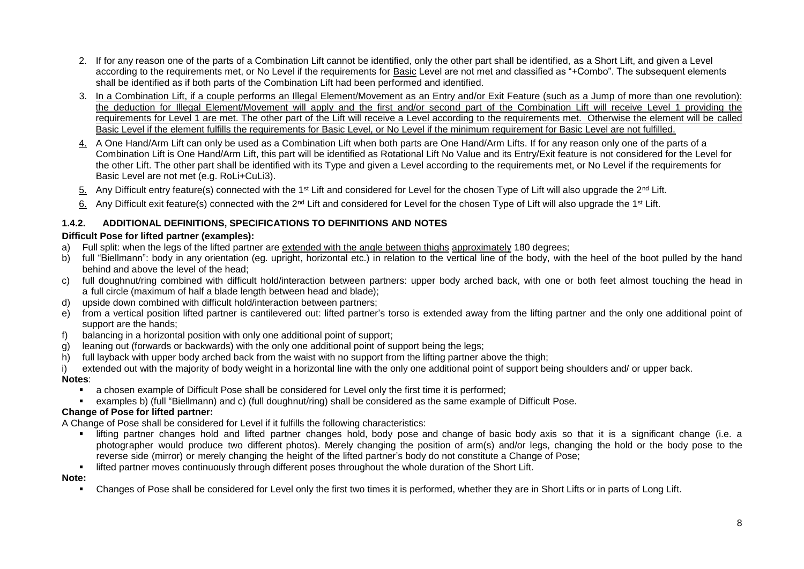- 2. If for any reason one of the parts of a Combination Lift cannot be identified, only the other part shall be identified, as a Short Lift, and given a Level according to the requirements met, or No Level if the requirements for Basic Level are not met and classified as "+Combo". The subsequent elements shall be identified as if both parts of the Combination Lift had been performed and identified.
- 3. In a Combination Lift, if a couple performs an Illegal Element/Movement as an Entry and/or Exit Feature (such as a Jump of more than one revolution): the deduction for Illegal Element/Movement will apply and the first and/or second part of the Combination Lift will receive Level 1 providing the requirements for Level 1 are met. The other part of the Lift will receive a Level according to the requirements met. Otherwise the element will be called Basic Level if the element fulfills the requirements for Basic Level, or No Level if the minimum requirement for Basic Level are not fulfilled.
- 4. A One Hand/Arm Lift can only be used as a Combination Lift when both parts are One Hand/Arm Lifts. If for any reason only one of the parts of a Combination Lift is One Hand/Arm Lift, this part will be identified as Rotational Lift No Value and its Entry/Exit feature is not considered for the Level for the other Lift. The other part shall be identified with its Type and given a Level according to the requirements met, or No Level if the requirements for Basic Level are not met (e.g. RoLi+CuLi3).
- 5. Any Difficult entry feature(s) connected with the 1<sup>st</sup> Lift and considered for Level for the chosen Type of Lift will also upgrade the 2<sup>nd</sup> Lift.
- 6. Any Difficult exit feature(s) connected with the 2<sup>nd</sup> Lift and considered for Level for the chosen Type of Lift will also upgrade the 1<sup>st</sup> Lift.

# **1.4.2. ADDITIONAL DEFINITIONS, SPECIFICATIONS TO DEFINITIONS AND NOTES**

# **Difficult Pose for lifted partner (examples):**

- a) Full split: when the legs of the lifted partner are extended with the angle between thighs approximately 180 degrees;
- b) full "Biellmann": body in any orientation (eg. upright, horizontal etc.) in relation to the vertical line of the body, with the heel of the boot pulled by the hand behind and above the level of the head;
- c) full doughnut/ring combined with difficult hold/interaction between partners: upper body arched back, with one or both feet almost touching the head in a full circle (maximum of half a blade length between head and blade);
- d) upside down combined with difficult hold/interaction between partners;
- e) from a vertical position lifted partner is cantilevered out: lifted partner's torso is extended away from the lifting partner and the only one additional point of support are the hands;
- f) balancing in a horizontal position with only one additional point of support;
- g) leaning out (forwards or backwards) with the only one additional point of support being the legs;
- h) full layback with upper body arched back from the waist with no support from the lifting partner above the thigh;
- i) extended out with the majority of body weight in a horizontal line with the only one additional point of support being shoulders and/ or upper back.

#### **Notes**:

- a chosen example of Difficult Pose shall be considered for Level only the first time it is performed;
- examples b) (full "Biellmann) and c) (full doughnut/ring) shall be considered as the same example of Difficult Pose.

#### **Change of Pose for lifted partner:**

A Change of Pose shall be considered for Level if it fulfills the following characteristics:

- lifting partner changes hold and lifted partner changes hold, body pose and change of basic body axis so that it is a significant change (i.e. a photographer would produce two different photos). Merely changing the position of arm(s) and/or legs, changing the hold or the body pose to the reverse side (mirror) or merely changing the height of the lifted partner's body do not constitute a Change of Pose;
- **In the defect of the Short Lift.** If the understanding of the short lift. If the whole duration of the Short Lift.

#### **Note:**

Changes of Pose shall be considered for Level only the first two times it is performed, whether they are in Short Lifts or in parts of Long Lift.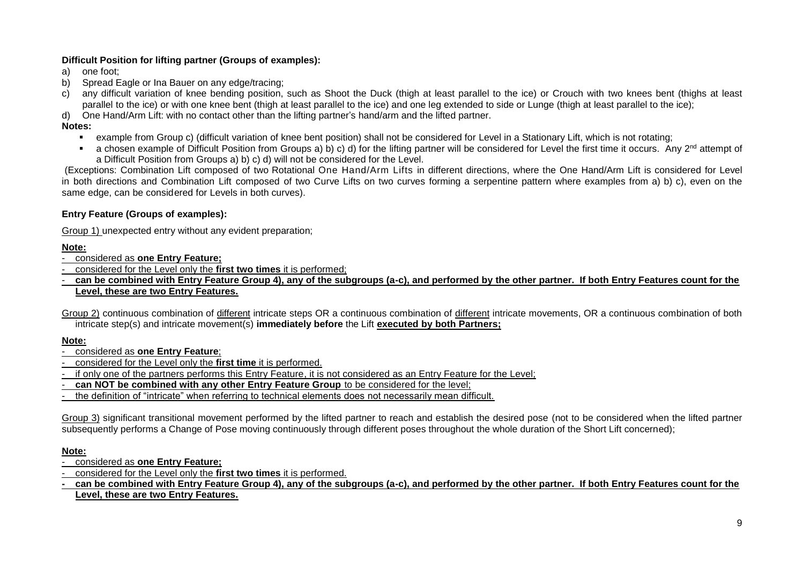# **Difficult Position for lifting partner (Groups of examples):**

- a) one foot;
- b) Spread Eagle or Ina Bauer on any edge/tracing;
- c) any difficult variation of knee bending position, such as Shoot the Duck (thigh at least parallel to the ice) or Crouch with two knees bent (thighs at least parallel to the ice) or with one knee bent (thigh at least parallel to the ice) and one leg extended to side or Lunge (thigh at least parallel to the ice);
- d) One Hand/Arm Lift: with no contact other than the lifting partner's hand/arm and the lifted partner.

# **Notes:**

- example from Group c) (difficult variation of knee bent position) shall not be considered for Level in a Stationary Lift, which is not rotating;
- a chosen example of Difficult Position from Groups a) b) c) d) for the lifting partner will be considered for Level the first time it occurs. Any  $2^{nd}$  attempt of a Difficult Position from Groups a) b) c) d) will not be considered for the Level.

(Exceptions: Combination Lift composed of two Rotational One Hand/Arm Lifts in different directions, where the One Hand/Arm Lift is considered for Level in both directions and Combination Lift composed of two Curve Lifts on two curves forming a serpentine pattern where examples from a) b) c), even on the same edge, can be considered for Levels in both curves).

#### **Entry Feature (Groups of examples):**

Group 1) unexpected entry without any evident preparation;

#### **Note:**

- considered as **one Entry Feature;**

- considered for the Level only the **first two times** it is performed;
- can be combined with Entry Feature Group 4), any of the subgroups (a-c), and performed by the other partner. If both Entry Features count for the **Level, these are two Entry Features.**
- Group 2) continuous combination of different intricate steps OR a continuous combination of different intricate movements, OR a continuous combination of both intricate step(s) and intricate movement(s) **immediately before** the Lift **executed by both Partners;**

#### **Note:**

- considered as **one Entry Feature**;
- considered for the Level only the **first time** it is performed.
- if only one of the partners performs this Entry Feature, it is not considered as an Entry Feature for the Level;
- **can NOT be combined with any other Entry Feature Group** to be considered for the level;
- the definition of "intricate" when referring to technical elements does not necessarily mean difficult.

Group 3) significant transitional movement performed by the lifted partner to reach and establish the desired pose (not to be considered when the lifted partner subsequently performs a Change of Pose moving continuously through different poses throughout the whole duration of the Short Lift concerned);

#### **Note:**

- considered as **one Entry Feature;**
- considered for the Level only the **first two times** it is performed.

**- can be combined with Entry Feature Group 4), any of the subgroups (a-c), and performed by the other partner. If both Entry Features count for the Level, these are two Entry Features.**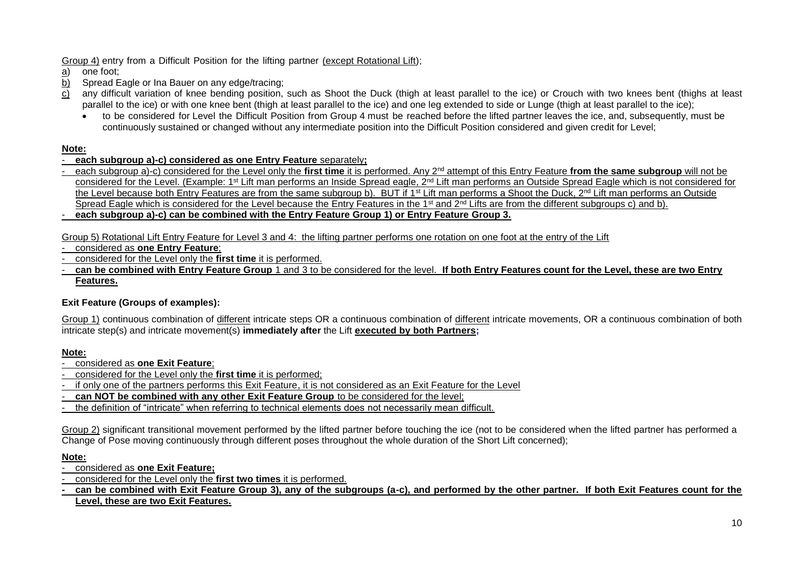Group 4) entry from a Difficult Position for the lifting partner (except Rotational Lift);

- a) one foot;
- b) Spread Eagle or Ina Bauer on any edge/tracing;
- $\overrightarrow{c}$  any difficult variation of knee bending position, such as Shoot the Duck (thigh at least parallel to the ice) or Crouch with two knees bent (thighs at least parallel to the ice) or with one knee bent (thigh at least parallel to the ice) and one leg extended to side or Lunge (thigh at least parallel to the ice);
	- to be considered for Level the Difficult Position from Group 4 must be reached before the lifted partner leaves the ice, and, subsequently, must be continuously sustained or changed without any intermediate position into the Difficult Position considered and given credit for Level;

#### **Note:**

- **each subgroup a)-c) considered as one Entry Feature** separately**;**
- each subgroup a)-c) considered for the Level only the **first time** it is performed. Any 2nd attempt of this Entry Feature **from the same subgroup** will not be considered for the Level. (Example: 1<sup>st</sup> Lift man performs an Inside Spread eagle, 2<sup>nd</sup> Lift man performs an Outside Spread Eagle which is not considered for the Level because both Entry Features are from the same subgroup b). BUT if 1<sup>st</sup> Lift man performs a Shoot the Duck, 2<sup>nd</sup> Lift man performs an Outside Spread Eagle which is considered for the Level because the Entry Features in the 1<sup>st</sup> and 2<sup>nd</sup> Lifts are from the different subgroups c) and b).
- **each subgroup a)-c) can be combined with the Entry Feature Group 1) or Entry Feature Group 3.**

Group 5) Rotational Lift Entry Feature for Level 3 and 4: the lifting partner performs one rotation on one foot at the entry of the Lift

- considered as **one Entry Feature**;
- considered for the Level only the **first time** it is performed.
- **can be combined with Entry Feature Group** 1 and 3 to be considered for the level. **If both Entry Features count for the Level, these are two Entry Features.**

# **Exit Feature (Groups of examples):**

Group 1) continuous combination of different intricate steps OR a continuous combination of different intricate movements, OR a continuous combination of both intricate step(s) and intricate movement(s) **immediately after** the Lift **executed by both Partners;**

# **Note:**

- considered as **one Exit Feature**;
- considered for the Level only the **first time** it is performed;
- if only one of the partners performs this Exit Feature, it is not considered as an Exit Feature for the Level
- **can NOT be combined with any other Exit Feature Group** to be considered for the level;
- the definition of "intricate" when referring to technical elements does not necessarily mean difficult.

Group 2) significant transitional movement performed by the lifted partner before touching the ice (not to be considered when the lifted partner has performed a Change of Pose moving continuously through different poses throughout the whole duration of the Short Lift concerned);

#### **Note:**

- considered as **one Exit Feature;**
- considered for the Level only the **first two times** it is performed.
- can be combined with Exit Feature Group 3), any of the subgroups (a-c), and performed by the other partner. If both Exit Features count for the **Level, these are two Exit Features.**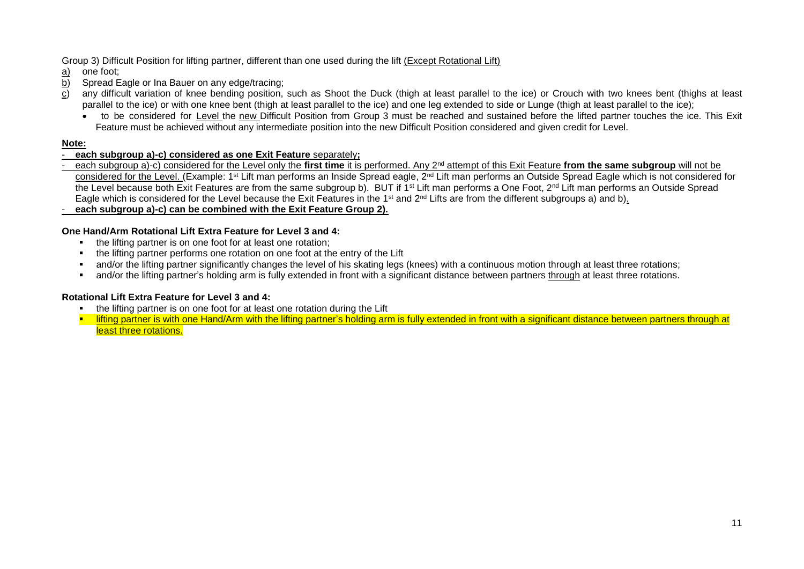#### Group 3) Difficult Position for lifting partner, different than one used during the lift (Except Rotational Lift)

- a) one foot;
- b) Spread Eagle or Ina Bauer on any edge/tracing;<br>c) any difficult variation of knee bending position
- any difficult variation of knee bending position, such as Shoot the Duck (thigh at least parallel to the ice) or Crouch with two knees bent (thighs at least parallel to the ice) or with one knee bent (thigh at least parallel to the ice) and one leg extended to side or Lunge (thigh at least parallel to the ice);
	- to be considered for Level the new Difficult Position from Group 3 must be reached and sustained before the lifted partner touches the ice. This Exit Feature must be achieved without any intermediate position into the new Difficult Position considered and given credit for Level.

#### **Note:**

#### - **each subgroup a)-c) considered as one Exit Feature** separately**;**

- each subgroup a)-c) considered for the Level only the **first time** it is performed. Any 2nd attempt of this Exit Feature **from the same subgroup** will not be <u>considered for the Level. (</u>Example: 1<sup>st</sup> Lift man performs an Inside Spread eagle, 2<sup>nd</sup> Lift man performs an Outside Spread Eagle which is not considered for the Level because both Exit Features are from the same subgroup b). BUT if 1<sup>st</sup> Lift man performs a One Foot, 2<sup>nd</sup> Lift man performs an Outside Spread Eagle which is considered for the Level because the Exit Features in the 1<sup>st</sup> and 2<sup>nd</sup> Lifts are from the different subgroups a) and b).

- **each subgroup a)-c) can be combined with the Exit Feature Group 2).**

#### **One Hand/Arm Rotational Lift Extra Feature for Level 3 and 4:**

- the lifting partner is on one foot for at least one rotation;
- the lifting partner performs one rotation on one foot at the entry of the Lift
- and/or the lifting partner significantly changes the level of his skating legs (knees) with a continuous motion through at least three rotations;
- and/or the lifting partner's holding arm is fully extended in front with a significant distance between partners through at least three rotations.

#### **Rotational Lift Extra Feature for Level 3 and 4:**

- the lifting partner is on one foot for at least one rotation during the Lift
- **Ifting partner is with one Hand/Arm with the lifting partner's holding arm is fully extended in front with a significant distance between partners through at** least three rotations.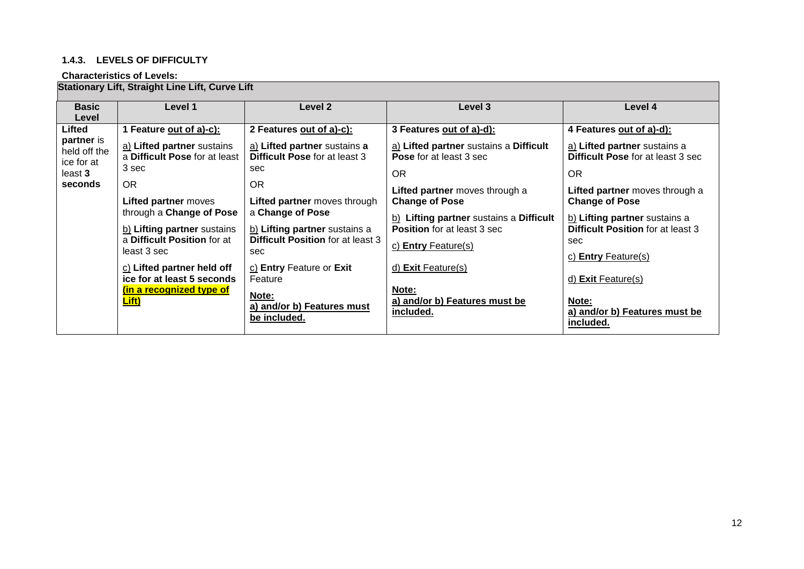# **1.4.3. LEVELS OF DIFFICULTY**

#### **Characteristics of Levels:**

# **Stationary Lift, Straight Line Lift, Curve Lift**

| <b>Basic</b><br>Level                                                           | Level 1                                                                                                                                                                                                                                                                                                                                               | Level 2                                                                                                                                                                                                                                                                                                                                                     | Level 3                                                                                                                                                                                                                                                                                                                                                           | Level 4                                                                                                                                                                                                                                                                                                                                                          |
|---------------------------------------------------------------------------------|-------------------------------------------------------------------------------------------------------------------------------------------------------------------------------------------------------------------------------------------------------------------------------------------------------------------------------------------------------|-------------------------------------------------------------------------------------------------------------------------------------------------------------------------------------------------------------------------------------------------------------------------------------------------------------------------------------------------------------|-------------------------------------------------------------------------------------------------------------------------------------------------------------------------------------------------------------------------------------------------------------------------------------------------------------------------------------------------------------------|------------------------------------------------------------------------------------------------------------------------------------------------------------------------------------------------------------------------------------------------------------------------------------------------------------------------------------------------------------------|
| Lifted<br><b>partner</b> is<br>held off the<br>ice for at<br>least 3<br>seconds | 1 Feature out of a)-c):<br>a) Lifted partner sustains<br>a Difficult Pose for at least<br>3 sec<br><b>OR</b><br><b>Lifted partner</b> moves<br>through a Change of Pose<br>b) Lifting partner sustains<br>a Difficult Position for at<br>least 3 sec<br>c) Lifted partner held off<br>ice for at least 5 seconds<br>(in a recognized type of<br>Lift) | 2 Features out of a)-c):<br>a) Lifted partner sustains a<br><b>Difficult Pose for at least 3</b><br>sec<br>OR.<br><b>Lifted partner</b> moves through<br>a Change of Pose<br>b) Lifting partner sustains a<br><b>Difficult Position for at least 3</b><br>sec<br>c) Entry Feature or Exit<br>Feature<br>Note:<br>a) and/or b) Features must<br>be included. | 3 Features out of a)-d):<br>a) Lifted partner sustains a Difficult<br><b>Pose</b> for at least 3 sec<br><b>OR</b><br>Lifted partner moves through a<br><b>Change of Pose</b><br>b) Lifting partner sustains a Difficult<br><b>Position</b> for at least 3 sec<br>c) Entry Feature(s)<br>d) Exit Feature(s)<br>Note:<br>a) and/or b) Features must be<br>included. | 4 Features out of a)-d):<br>a) Lifted partner sustains a<br><b>Difficult Pose for at least 3 sec</b><br>OR<br>Lifted partner moves through a<br><b>Change of Pose</b><br>b) Lifting partner sustains a<br><b>Difficult Position for at least 3</b><br>sec<br>c) Entry Feature $(s)$<br>d) Exit Feature(s)<br>Note:<br>a) and/or b) Features must be<br>included. |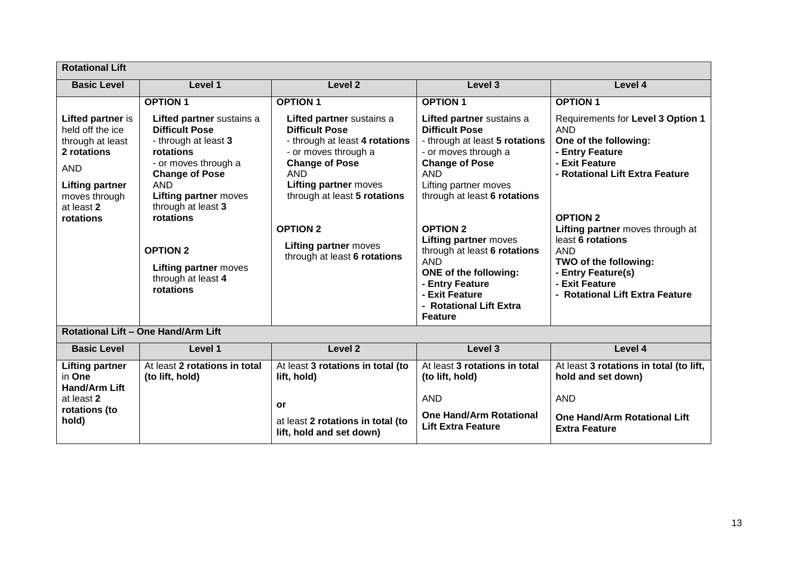| <b>Rotational Lift</b>                                                                                                            |                                                                                                                                                                                                          |                                                                                                                                                                                                                                        |                                                                                                                                                                                                                                 |                                                                                                                                                                                            |
|-----------------------------------------------------------------------------------------------------------------------------------|----------------------------------------------------------------------------------------------------------------------------------------------------------------------------------------------------------|----------------------------------------------------------------------------------------------------------------------------------------------------------------------------------------------------------------------------------------|---------------------------------------------------------------------------------------------------------------------------------------------------------------------------------------------------------------------------------|--------------------------------------------------------------------------------------------------------------------------------------------------------------------------------------------|
| <b>Basic Level</b>                                                                                                                | Level 1                                                                                                                                                                                                  | Level <sub>2</sub>                                                                                                                                                                                                                     | Level 3                                                                                                                                                                                                                         | Level 4                                                                                                                                                                                    |
| Lifted partner is<br>held off the ice<br>through at least<br>2 rotations<br><b>AND</b><br><b>Lifting partner</b><br>moves through | <b>OPTION1</b><br>Lifted partner sustains a<br><b>Difficult Pose</b><br>- through at least 3<br>rotations<br>- or moves through a<br><b>Change of Pose</b><br><b>AND</b><br><b>Lifting partner moves</b> | <b>OPTION 1</b><br>Lifted partner sustains a<br><b>Difficult Pose</b><br>- through at least 4 rotations<br>- or moves through a<br><b>Change of Pose</b><br><b>AND</b><br><b>Lifting partner moves</b><br>through at least 5 rotations | <b>OPTION 1</b><br>Lifted partner sustains a<br><b>Difficult Pose</b><br>- through at least 5 rotations<br>- or moves through a<br><b>Change of Pose</b><br><b>AND</b><br>Lifting partner moves<br>through at least 6 rotations | <b>OPTION 1</b><br>Requirements for Level 3 Option 1<br><b>AND</b><br>One of the following:<br>- Entry Feature<br>- Exit Feature<br>- Rotational Lift Extra Feature                        |
| at least 2<br>rotations                                                                                                           | through at least 3<br>rotations<br><b>OPTION 2</b><br><b>Lifting partner moves</b><br>through at least 4<br>rotations                                                                                    | <b>OPTION 2</b><br><b>Lifting partner moves</b><br>through at least 6 rotations                                                                                                                                                        | <b>OPTION 2</b><br><b>Lifting partner moves</b><br>through at least 6 rotations<br><b>AND</b><br><b>ONE of the following:</b><br>- Entry Feature<br>- Exit Feature<br>- Rotational Lift Extra<br><b>Feature</b>                 | <b>OPTION 2</b><br>Lifting partner moves through at<br>least 6 rotations<br><b>AND</b><br>TWO of the following:<br>- Entry Feature(s)<br>- Exit Feature<br>- Rotational Lift Extra Feature |
|                                                                                                                                   | Rotational Lift - One Hand/Arm Lift                                                                                                                                                                      |                                                                                                                                                                                                                                        |                                                                                                                                                                                                                                 |                                                                                                                                                                                            |
| <b>Basic Level</b>                                                                                                                | Level 1                                                                                                                                                                                                  | Level 2                                                                                                                                                                                                                                | Level 3                                                                                                                                                                                                                         | Level 4                                                                                                                                                                                    |
| <b>Lifting partner</b><br>in One<br><b>Hand/Arm Lift</b><br>at least 2<br>rotations (to<br>hold)                                  | At least 2 rotations in total<br>(to lift, hold)                                                                                                                                                         | At least 3 rotations in total (to<br>lift, hold)<br><b>or</b><br>at least 2 rotations in total (to<br>lift, hold and set down)                                                                                                         | At least 3 rotations in total<br>(to lift, hold)<br><b>AND</b><br><b>One Hand/Arm Rotational</b><br><b>Lift Extra Feature</b>                                                                                                   | At least 3 rotations in total (to lift,<br>hold and set down)<br><b>AND</b><br><b>One Hand/Arm Rotational Lift</b><br><b>Extra Feature</b>                                                 |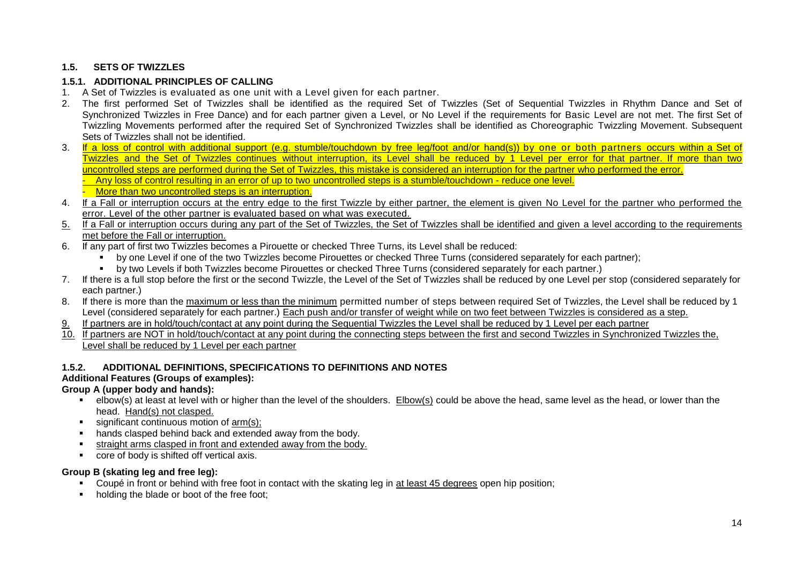# **1.5. SETS OF TWIZZLES**

### **1.5.1. ADDITIONAL PRINCIPLES OF CALLING**

- 1. A Set of Twizzles is evaluated as one unit with a Level given for each partner.
- 2. The first performed Set of Twizzles shall be identified as the required Set of Twizzles (Set of Sequential Twizzles in Rhythm Dance and Set of Synchronized Twizzles in Free Dance) and for each partner given a Level, or No Level if the requirements for Basic Level are not met. The first Set of Twizzling Movements performed after the required Set of Synchronized Twizzles shall be identified as Choreographic Twizzling Movement. Subsequent Sets of Twizzles shall not be identified.
- 3. If a loss of control with additional support (e.g. stumble/touchdown by free leg/foot and/or hand(s)) by one or both partners occurs within a Set of Twizzles and the Set of Twizzles continues without interruption, its Level shall be reduced by 1 Level per error for that partner. If more than two uncontrolled steps are performed during the Set of Twizzles, this mistake is considered an interruption for the partner who performed the error. Any loss of control resulting in an error of up to two uncontrolled steps is a stumble/touchdown - reduce one level.
	- More than two uncontrolled steps is an interruption.
- 4. If a Fall or interruption occurs at the entry edge to the first Twizzle by either partner, the element is given No Level for the partner who performed the error. Level of the other partner is evaluated based on what was executed.
- 5. If a Fall or interruption occurs during any part of the Set of Twizzles, the Set of Twizzles shall be identified and given a level according to the requirements met before the Fall or interruption.
- 6. If any part of first two Twizzles becomes a Pirouette or checked Three Turns, its Level shall be reduced:
	- by one Level if one of the two Twizzles become Pirouettes or checked Three Turns (considered separately for each partner);
	- by two Levels if both Twizzles become Pirouettes or checked Three Turns (considered separately for each partner.)
- 7. If there is a full stop before the first or the second Twizzle, the Level of the Set of Twizzles shall be reduced by one Level per stop (considered separately for each partner.)
- 8. If there is more than the maximum or less than the minimum permitted number of steps between required Set of Twizzles, the Level shall be reduced by 1 Level (considered separately for each partner.) Each push and/or transfer of weight while on two feet between Twizzles is considered as a step.
- 9. If partners are in hold/touch/contact at any point during the Sequential Twizzles the Level shall be reduced by 1 Level per each partner
- 10. If partners are NOT in hold/touch/contact at any point during the connecting steps between the first and second Twizzles in Synchronized Twizzles the, Level shall be reduced by 1 Level per each partner

#### **1.5.2. ADDITIONAL DEFINITIONS, SPECIFICATIONS TO DEFINITIONS AND NOTES**

#### **Additional Features (Groups of examples):**

#### **Group A (upper body and hands):**

- elbow(s) at least at level with or higher than the level of the shoulders. Elbow(s) could be above the head, same level as the head, or lower than the head. Hand(s) not clasped.
- significant continuous motion of arm(s);
- hands clasped behind back and extended away from the body.
- straight arms clasped in front and extended away from the body.
- **CORE OF BODY IS Shifted off vertical axis.**

#### **Group B (skating leg and free leg):**

- Coupé in front or behind with free foot in contact with the skating leg in at least 45 degrees open hip position;
- holding the blade or boot of the free foot;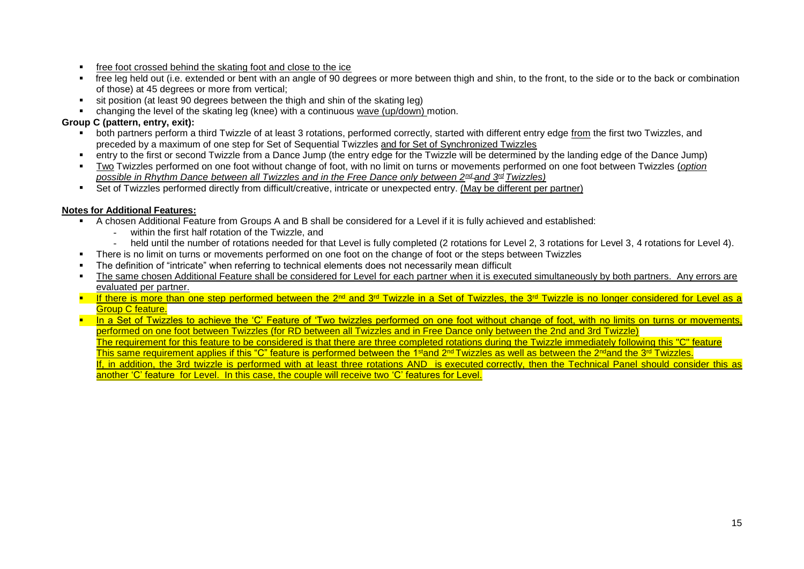- **free foot crossed behind the skating foot and close to the ice**
- free leg held out (i.e. extended or bent with an angle of 90 degrees or more between thigh and shin, to the front, to the side or to the back or combination of those) at 45 degrees or more from vertical;
- sit position (at least 90 degrees between the thigh and shin of the skating leg)
- changing the level of the skating leg (knee) with a continuous wave (up/down) motion.

# **Group C (pattern, entry, exit):**

- both partners perform a third Twizzle of at least 3 rotations, performed correctly, started with different entry edge from the first two Twizzles, and preceded by a maximum of one step for Set of Sequential Twizzles and for Set of Synchronized Twizzles
- entry to the first or second Twizzle from a Dance Jump (the entry edge for the Twizzle will be determined by the landing edge of the Dance Jump)
- Two Twizzles performed on one foot without change of foot, with no limit on turns or movements performed on one foot between Twizzles (*option possible in Rhythm Dance between all Twizzles and in the Free Dance only between 2nd and 3rd Twizzles)*
- Set of Twizzles performed directly from difficult/creative, intricate or unexpected entry. (May be different per partner)

# **Notes for Additional Features:**

- A chosen Additional Feature from Groups A and B shall be considered for a Level if it is fully achieved and established:
	- within the first half rotation of the Twizzle, and
	- held until the number of rotations needed for that Level is fully completed (2 rotations for Level 2, 3 rotations for Level 3, 4 rotations for Level 4).
- There is no limit on turns or movements performed on one foot on the change of foot or the steps between Twizzles
- The definition of "intricate" when referring to technical elements does not necessarily mean difficult
- The same chosen Additional Feature shall be considered for Level for each partner when it is executed simultaneously by both partners. Any errors are evaluated per partner.
- If there is more than one step performed between the 2<sup>nd</sup> and 3<sup>rd</sup> Twizzle in a Set of Twizzles, the 3<sup>rd</sup> Twizzle is no longer considered for Level as a Group C feature.
- **In a Set of Twizzles to achieve the 'C' Feature of 'Two twizzles performed on one foot without change of foot, with no limits on turns or movements,** performed on one foot between Twizzles (for RD between all Twizzles and in Free Dance only between the 2nd and 3rd Twizzle) The requirement for this feature to be considered is that there are three completed rotations during the Twizzle immediately following this "C" feature This same requirement applies if this "C" feature is performed between the 1<sup>st</sup>and 2<sup>nd</sup> Twizzles as well as between the 2<sup>nd</sup> and the 3<sup>rd</sup> Twizzles. If, in addition, the 3rd twizzle is performed with at least three rotations AND is executed correctly, then the Technical Panel should consider this as another 'C' feature for Level. In this case, the couple will receive two 'C' features for Level.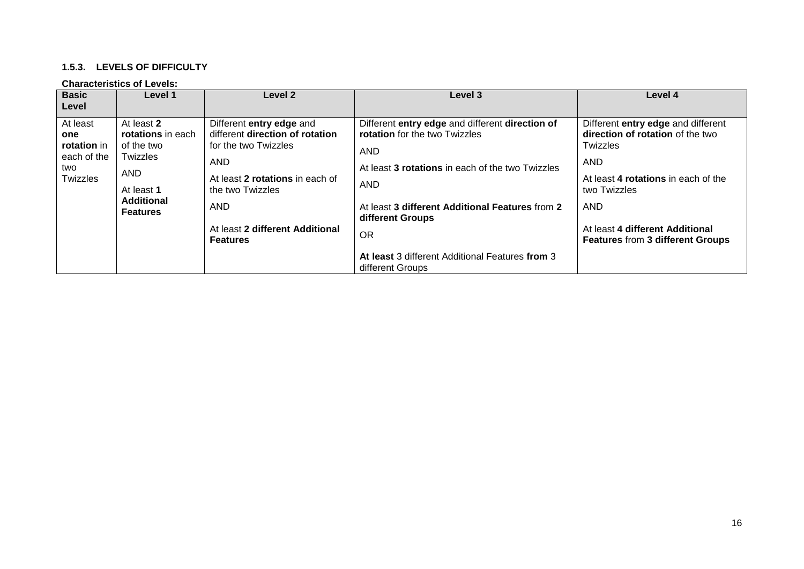#### **1.5.3. LEVELS OF DIFFICULTY**

#### **Characteristics of Levels:**

| <b>Basic</b>                                                              | Level 1                                                                                                                       | Level 2                                                                                                                                                                                                               | Level 3                                                                                                                                                                                                                                              | Level 4                                                                                                                                                                                                                                      |
|---------------------------------------------------------------------------|-------------------------------------------------------------------------------------------------------------------------------|-----------------------------------------------------------------------------------------------------------------------------------------------------------------------------------------------------------------------|------------------------------------------------------------------------------------------------------------------------------------------------------------------------------------------------------------------------------------------------------|----------------------------------------------------------------------------------------------------------------------------------------------------------------------------------------------------------------------------------------------|
| Level<br>At least<br>one<br>rotation in<br>each of the<br>two<br>Twizzles | At least 2<br>rotations in each<br>of the two<br>Twizzles<br><b>AND</b><br>At least 1<br><b>Additional</b><br><b>Features</b> | Different entry edge and<br>different direction of rotation<br>for the two Twizzles<br>AND<br>At least 2 rotations in each of<br>the two Twizzles<br><b>AND</b><br>At least 2 different Additional<br><b>Features</b> | Different entry edge and different direction of<br>rotation for the two Twizzles<br><b>AND</b><br>At least 3 rotations in each of the two Twizzles<br><b>AND</b><br>At least 3 different Additional Features from 2<br>different Groups<br><b>OR</b> | Different entry edge and different<br>direction of rotation of the two<br>Twizzles<br><b>AND</b><br>At least 4 rotations in each of the<br>two Twizzles<br><b>AND</b><br>At least 4 different Additional<br>Features from 3 different Groups |
|                                                                           |                                                                                                                               |                                                                                                                                                                                                                       | At least 3 different Additional Features from 3<br>different Groups                                                                                                                                                                                  |                                                                                                                                                                                                                                              |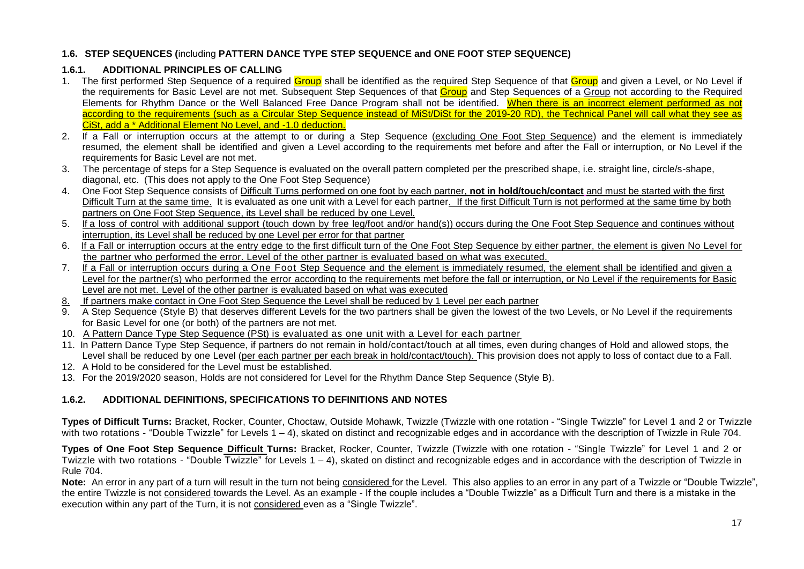# **1.6. STEP SEQUENCES (**including **PATTERN DANCE TYPE STEP SEQUENCE and ONE FOOT STEP SEQUENCE)**

# **1.6.1. ADDITIONAL PRINCIPLES OF CALLING**

- 1. The first performed Step Sequence of a required Group shall be identified as the required Step Sequence of that Group and given a Level, or No Level if the requirements for Basic Level are not met. Subsequent Step Sequences of that Group and Step Sequences of a Group not according to the Required Elements for Rhythm Dance or the Well Balanced Free Dance Program shall not be identified. When there is an incorrect element performed as not according to the requirements (such as a Circular Step Sequence instead of MiSt/DiSt for the 2019-20 RD), the Technical Panel will call what they see as CiSt, add a \* Additional Element No Level, and -1.0 deduction.
- 2. If a Fall or interruption occurs at the attempt to or during a Step Sequence (excluding One Foot Step Sequence) and the element is immediately resumed, the element shall be identified and given a Level according to the requirements met before and after the Fall or interruption, or No Level if the requirements for Basic Level are not met.
- 3. The percentage of steps for a Step Sequence is evaluated on the overall pattern completed per the prescribed shape, i.e. straight line, circle/s-shape, diagonal, etc. (This does not apply to the One Foot Step Sequence)
- 4. One Foot Step Sequence consists of Difficult Turns performed on one foot by each partner, **not in hold/touch/contact** and must be started with the first Difficult Turn at the same time. It is evaluated as one unit with a Level for each partner. If the first Difficult Turn is not performed at the same time by both partners on One Foot Step Sequence, its Level shall be reduced by one Level.
- 5. If a loss of control with additional support (touch down by free leg/foot and/or hand(s)) occurs during the One Foot Step Sequence and continues without interruption, its Level shall be reduced by one Level per error for that partner
- 6. If a Fall or interruption occurs at the entry edge to the first difficult turn of the One Foot Step Sequence by either partner, the element is given No Level for the partner who performed the error. Level of the other partner is evaluated based on what was executed.
- 7. If a Fall or interruption occurs during a One Foot Step Sequence and the element is immediately resumed, the element shall be identified and given a Level for the partner(s) who performed the error according to the requirements met before the fall or interruption, or No Level if the requirements for Basic Level are not met. Level of the other partner is evaluated based on what was executed
- 8. If partners make contact in One Foot Step Sequence the Level shall be reduced by 1 Level per each partner
- 9. A Step Sequence (Style B) that deserves different Levels for the two partners shall be given the lowest of the two Levels, or No Level if the requirements for Basic Level for one (or both) of the partners are not met.
- 10. A Pattern Dance Type Step Sequence (PSt) is evaluated as one unit with a Level for each partner
- 11. In Pattern Dance Type Step Sequence, if partners do not remain in hold/contact/touch at all times, even during changes of Hold and allowed stops, the Level shall be reduced by one Level (per each partner per each break in hold/contact/touch). This provision does not apply to loss of contact due to a Fall.
- 12. A Hold to be considered for the Level must be established.
- 13. For the 2019/2020 season, Holds are not considered for Level for the Rhythm Dance Step Sequence (Style B).

# **1.6.2. ADDITIONAL DEFINITIONS, SPECIFICATIONS TO DEFINITIONS AND NOTES**

**Types of Difficult Turns:** Bracket, Rocker, Counter, Choctaw, Outside Mohawk, Twizzle (Twizzle with one rotation - "Single Twizzle" for Level 1 and 2 or Twizzle with two rotations - "Double Twizzle" for Levels 1 – 4), skated on distinct and recognizable edges and in accordance with the description of Twizzle in Rule 704.

**Types of One Foot Step Sequence Difficult Turns:** Bracket, Rocker, Counter, Twizzle (Twizzle with one rotation - "Single Twizzle" for Level 1 and 2 or Twizzle with two rotations - "Double  $Twizele$ " for Levels  $1 - 4$ ), skated on distinct and recognizable edges and in accordance with the description of Twizzle in Rule 704.

**Note:** An error in any part of a turn will result in the turn not being considered for the Level. This also applies to an error in any part of a Twizzle or "Double Twizzle", the entire Twizzle is not considered towards the Level. As an example - If the couple includes a "Double Twizzle" as a Difficult Turn and there is a mistake in the execution within any part of the Turn, it is not considered even as a "Single Twizzle".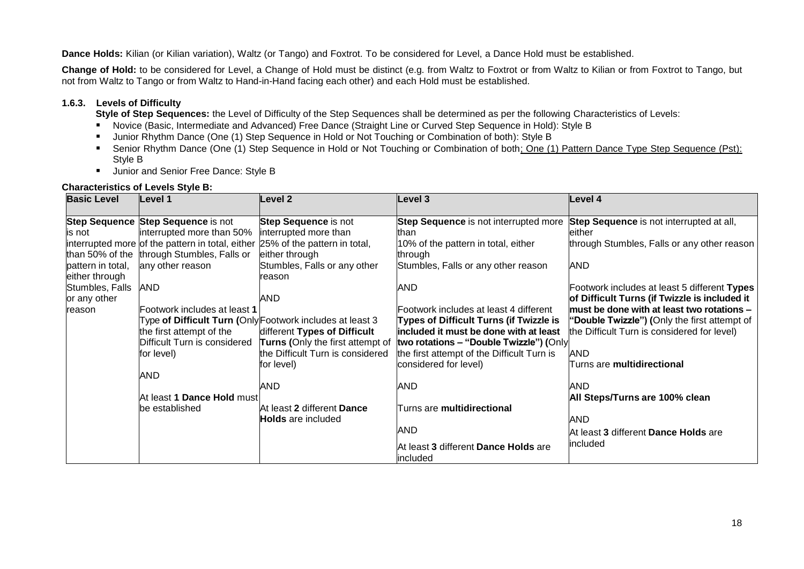**Dance Holds:** Kilian (or Kilian variation), Waltz (or Tango) and Foxtrot. To be considered for Level, a Dance Hold must be established.

**Change of Hold:** to be considered for Level, a Change of Hold must be distinct (e.g. from Waltz to Foxtrot or from Waltz to Kilian or from Foxtrot to Tango, but not from Waltz to Tango or from Waltz to Hand-in-Hand facing each other) and each Hold must be established.

#### **1.6.3. Levels of Difficulty**

**Style of Step Sequences:** the Level of Difficulty of the Step Sequences shall be determined as per the following Characteristics of Levels:

- Novice (Basic, Intermediate and Advanced) Free Dance (Straight Line or Curved Step Sequence in Hold): Style B
- **Junior Rhythm Dance (One (1) Step Sequence in Hold or Not Touching or Combination of both): Style B**
- Senior Rhythm Dance (One (1) Step Sequence in Hold or Not Touching or Combination of both; One (1) Pattern Dance Type Step Sequence (Pst): Style B
- Uunior and Senior Free Dance: Style B

#### **Characteristics of Levels Style B:**

| <b>Basic Level</b> | Level 1                                                                       | Level 2                                                   | Level 3                                      | Level 4                                       |
|--------------------|-------------------------------------------------------------------------------|-----------------------------------------------------------|----------------------------------------------|-----------------------------------------------|
|                    | Step Sequence Step Sequence is not                                            | <b>Step Sequence is not</b>                               | <b>Step Sequence</b> is not interrupted more | Step Sequence is not interrupted at all,      |
| is not             | interrupted more than 50%                                                     | interrupted more than                                     | Ithan                                        | leither                                       |
|                    | interrupted more of the pattern in total, either 25% of the pattern in total, |                                                           | 10% of the pattern in total, either          | through Stumbles, Falls or any other reason   |
|                    | than 50% of the through Stumbles, Falls or                                    | either through                                            | through                                      |                                               |
| pattern in total,  | any other reason                                                              | Stumbles, Falls or any other                              | Stumbles, Falls or any other reason          | <b>AND</b>                                    |
| either through     |                                                                               | reason                                                    |                                              |                                               |
| Stumbles, Falls    | AND                                                                           |                                                           | <b>AND</b>                                   | Footwork includes at least 5 different Types  |
| or any other       |                                                                               | AND                                                       |                                              | of Difficult Turns (if Twizzle is included it |
| reason             | Footwork includes at least 1                                                  |                                                           | Footwork includes at least 4 different       | must be done with at least two rotations -    |
|                    |                                                                               | Type of Difficult Turn (Only Footwork includes at least 3 | Types of Difficult Turns (if Twizzle is      | "Double Twizzle") (Only the first attempt of  |
|                    | the first attempt of the                                                      | different Types of Difficult                              | included it must be done with at least       | the Difficult Turn is considered for level)   |
|                    | Difficult Turn is considered                                                  | Turns (Only the first attempt of                          | two rotations - "Double Twizzle") (Only      |                                               |
|                    | for level)                                                                    | the Difficult Turn is considered                          | the first attempt of the Difficult Turn is   | AND                                           |
|                    |                                                                               | for level)                                                | considered for level)                        | Turns are multidirectional                    |
|                    | <b>AND</b>                                                                    |                                                           |                                              |                                               |
|                    |                                                                               | AND                                                       | <b>AND</b>                                   | AND                                           |
|                    | At least 1 Dance Hold must                                                    |                                                           |                                              | All Steps/Turns are 100% clean                |
|                    | be established                                                                | At least 2 different Dance                                | Turns are <b>multidirectional</b>            |                                               |
|                    |                                                                               | <b>Holds</b> are included                                 |                                              | AND                                           |
|                    |                                                                               |                                                           | <b>AND</b>                                   | At least 3 different Dance Holds are          |
|                    |                                                                               |                                                           | At least 3 different Dance Holds are         | lincluded                                     |
|                    |                                                                               |                                                           | included                                     |                                               |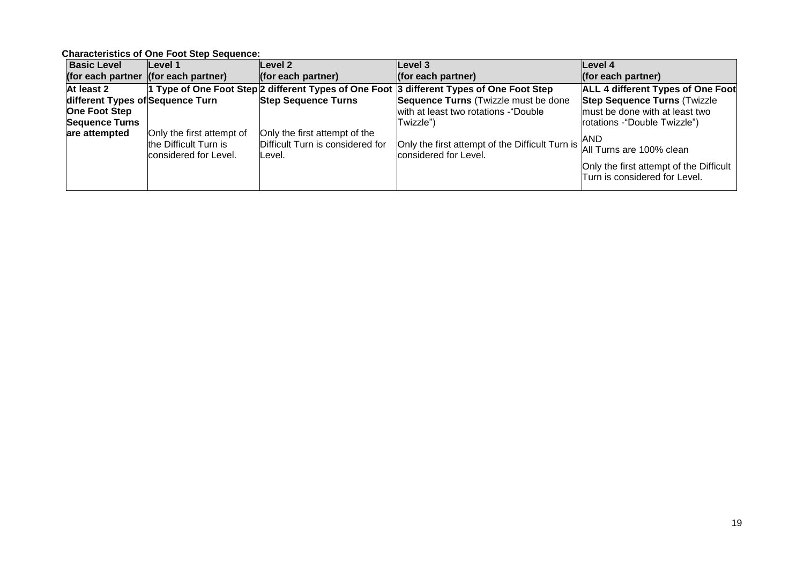**Characteristics of One Foot Step Sequence:**

| <b>Basic Level</b>                   | Level 1                                        | Level 2                                     | Level 3                                                                                  | Level 4                                                                  |
|--------------------------------------|------------------------------------------------|---------------------------------------------|------------------------------------------------------------------------------------------|--------------------------------------------------------------------------|
| (for each partner (for each partner) |                                                | (for each partner)                          | (for each partner)                                                                       | (for each partner)                                                       |
| At least 2                           |                                                |                                             | 1 Type of One Foot Step 2 different Types of One Foot 3 different Types of One Foot Step | <b>ALL 4 different Types of One Foot</b>                                 |
| different Types of Sequence Turn     |                                                | <b>Step Sequence Turns</b>                  | Sequence Turns (Twizzle must be done                                                     | <b>Step Sequence Turns (Twizzle</b>                                      |
| <b>One Foot Step</b>                 |                                                |                                             | with at least two rotations - "Double                                                    | must be done with at least two                                           |
| <b>Sequence Turns</b>                |                                                |                                             | lTwizzle")                                                                               | rotations - "Double Twizzle")                                            |
| are attempted                        | Only the first attempt of                      | Only the first attempt of the               |                                                                                          | <b>JAND</b>                                                              |
|                                      | the Difficult Turn is<br>considered for Level. | Difficult Turn is considered for<br>lLevel. | Only the first attempt of the Difficult Turn is<br>considered for Level.                 | All Turns are 100% clean                                                 |
|                                      |                                                |                                             |                                                                                          | Only the first attempt of the Difficult<br>Turn is considered for Level. |
|                                      |                                                |                                             |                                                                                          |                                                                          |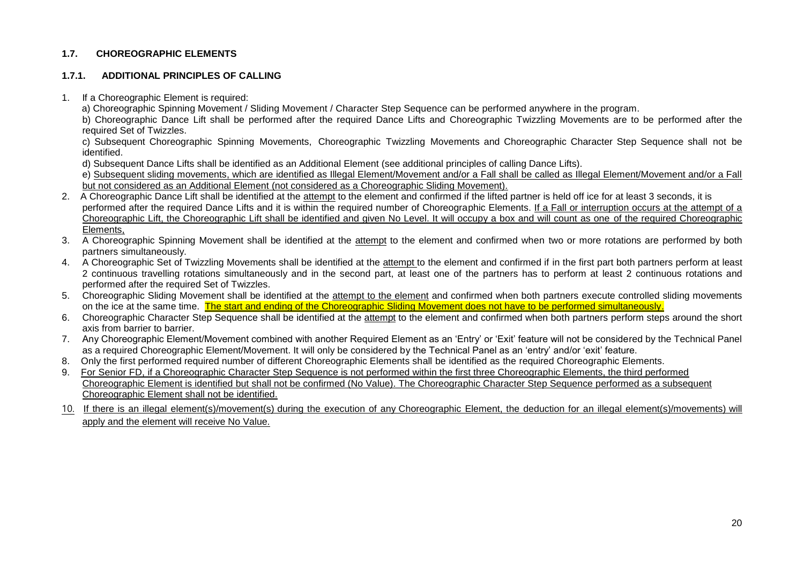#### **1.7. CHOREOGRAPHIC ELEMENTS**

#### **1.7.1. ADDITIONAL PRINCIPLES OF CALLING**

- 1. If a Choreographic Element is required:
	- a) Choreographic Spinning Movement / Sliding Movement / Character Step Sequence can be performed anywhere in the program.

b) Choreographic Dance Lift shall be performed after the required Dance Lifts and Choreographic Twizzling Movements are to be performed after the required Set of Twizzles.

c) Subsequent Choreographic Spinning Movements, Choreographic Twizzling Movements and Choreographic Character Step Sequence shall not be identified.

d) Subsequent Dance Lifts shall be identified as an Additional Element (see additional principles of calling Dance Lifts).

e) Subsequent sliding movements, which are identified as Illegal Element/Movement and/or a Fall shall be called as Illegal Element/Movement and/or a Fall but not considered as an Additional Element (not considered as a Choreographic Sliding Movement).

- 2. A Choreographic Dance Lift shall be identified at the attempt to the element and confirmed if the lifted partner is held off ice for at least 3 seconds, it is performed after the required Dance Lifts and it is within the required number of Choreographic Elements. If a Fall or interruption occurs at the attempt of a Choreographic Lift, the Choreographic Lift shall be identified and given No Level. It will occupy a box and will count as one of the required Choreographic Elements,
- 3. A Choreographic Spinning Movement shall be identified at the attempt to the element and confirmed when two or more rotations are performed by both partners simultaneously.
- 4. A Choreographic Set of Twizzling Movements shall be identified at the attempt to the element and confirmed if in the first part both partners perform at least 2 continuous travelling rotations simultaneously and in the second part, at least one of the partners has to perform at least 2 continuous rotations and performed after the required Set of Twizzles.
- 5. Choreographic Sliding Movement shall be identified at the attempt to the element and confirmed when both partners execute controlled sliding movements on the ice at the same time. The start and ending of the Choreographic Sliding Movement does not have to be performed simultaneously.
- 6. Choreographic Character Step Sequence shall be identified at the attempt to the element and confirmed when both partners perform steps around the short axis from barrier to barrier.
- 7. Any Choreographic Element/Movement combined with another Required Element as an 'Entry' or 'Exit' feature will not be considered by the Technical Panel as a required Choreographic Element/Movement. It will only be considered by the Technical Panel as an 'entry' and/or 'exit' feature.
- 8. Only the first performed required number of different Choreographic Elements shall be identified as the required Choreographic Elements.
- 9. For Senior FD, if a Choreographic Character Step Sequence is not performed within the first three Choreographic Elements, the third performed Choreographic Element is identified but shall not be confirmed (No Value). The Choreographic Character Step Sequence performed as a subsequent Choreographic Element shall not be identified.
- 10. If there is an illegal element(s)/movement(s) during the execution of any Choreographic Element, the deduction for an illegal element(s)/movements) will apply and the element will receive No Value.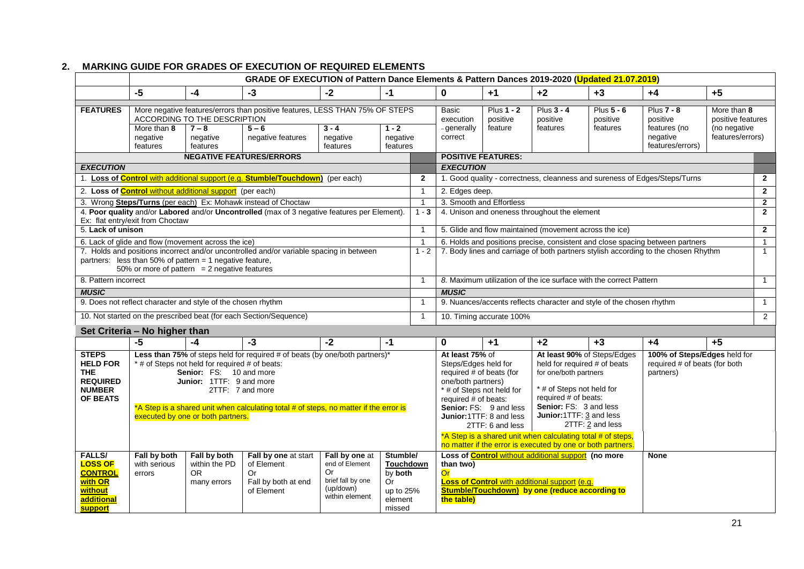|                                                                                                                                                                                                                                                                                                                                                                                                                                   |                                        |                                                                 | GRADE OF EXECUTION of Pattern Dance Elements & Pattern Dances 2019-2020 (Updated 21.07.2019)                 |                                                                                                                                                    |                                                                          |                                                                                                                                                                                                                                                                                               |                                                                                      |                                                                            |                                                                                                                                                                             |                                    |                                                                               |                                                                      |
|-----------------------------------------------------------------------------------------------------------------------------------------------------------------------------------------------------------------------------------------------------------------------------------------------------------------------------------------------------------------------------------------------------------------------------------|----------------------------------------|-----------------------------------------------------------------|--------------------------------------------------------------------------------------------------------------|----------------------------------------------------------------------------------------------------------------------------------------------------|--------------------------------------------------------------------------|-----------------------------------------------------------------------------------------------------------------------------------------------------------------------------------------------------------------------------------------------------------------------------------------------|--------------------------------------------------------------------------------------|----------------------------------------------------------------------------|-----------------------------------------------------------------------------------------------------------------------------------------------------------------------------|------------------------------------|-------------------------------------------------------------------------------|----------------------------------------------------------------------|
|                                                                                                                                                                                                                                                                                                                                                                                                                                   | $-5$                                   | $-4$                                                            | $-3$                                                                                                         | $-2$                                                                                                                                               | $-1$                                                                     |                                                                                                                                                                                                                                                                                               | $\mathbf 0$                                                                          | $+1$                                                                       | $+2$                                                                                                                                                                        | $+3$                               | $+4$                                                                          | $+5$                                                                 |
| <b>FEATURES</b>                                                                                                                                                                                                                                                                                                                                                                                                                   | More than 8<br>negative<br>features    | ACCORDING TO THE DESCRIPTION<br>$7 - 8$<br>negative<br>features | More negative features/errors than positive features, LESS THAN 75% OF STEPS<br>$5 - 6$<br>negative features | $3 - 4$<br>negative<br>features                                                                                                                    | $1 - 2$<br>negative<br>features                                          |                                                                                                                                                                                                                                                                                               | Basic<br>execution<br>- generally<br>correct                                         | Plus $1 - 2$<br>positive<br>feature                                        | Plus $3 - 4$<br>positive<br>features                                                                                                                                        | Plus 5 - 6<br>positive<br>features | <b>Plus 7 - 8</b><br>positive<br>features (no<br>negative<br>features/errors) | More than 8<br>positive features<br>(no negative<br>features/errors) |
|                                                                                                                                                                                                                                                                                                                                                                                                                                   |                                        |                                                                 | <b>NEGATIVE FEATURES/ERRORS</b>                                                                              |                                                                                                                                                    |                                                                          |                                                                                                                                                                                                                                                                                               | <b>POSITIVE FEATURES:</b>                                                            |                                                                            |                                                                                                                                                                             |                                    |                                                                               |                                                                      |
| <b>EXECUTION</b>                                                                                                                                                                                                                                                                                                                                                                                                                  |                                        |                                                                 |                                                                                                              |                                                                                                                                                    |                                                                          |                                                                                                                                                                                                                                                                                               | <b>EXECUTION</b>                                                                     |                                                                            |                                                                                                                                                                             |                                    |                                                                               |                                                                      |
| 1. Loss of Control with additional support (e.g. Stumble/Touchdown) (per each)                                                                                                                                                                                                                                                                                                                                                    |                                        |                                                                 |                                                                                                              | $\overline{2}$                                                                                                                                     |                                                                          |                                                                                                                                                                                                                                                                                               |                                                                                      |                                                                            | 1. Good quality - correctness, cleanness and sureness of Edges/Steps/Turns                                                                                                  | $\mathbf{2}$                       |                                                                               |                                                                      |
|                                                                                                                                                                                                                                                                                                                                                                                                                                   |                                        | 2. Loss of <b>Control</b> without additional support (per each) |                                                                                                              |                                                                                                                                                    |                                                                          | $\overline{1}$                                                                                                                                                                                                                                                                                |                                                                                      | 2. Edges deep.                                                             |                                                                                                                                                                             |                                    |                                                                               | $\overline{2}$                                                       |
|                                                                                                                                                                                                                                                                                                                                                                                                                                   |                                        |                                                                 | 3. Wrong Steps/Turns (per each) Ex: Mohawk instead of Choctaw                                                |                                                                                                                                                    |                                                                          | $\overline{1}$                                                                                                                                                                                                                                                                                |                                                                                      | 3. Smooth and Effortless                                                   |                                                                                                                                                                             |                                    |                                                                               | $\overline{2}$                                                       |
|                                                                                                                                                                                                                                                                                                                                                                                                                                   | Ex: flat entry/exit from Choctaw       |                                                                 | 4. Poor quality and/or Labored and/or Uncontrolled (max of 3 negative features per Element).                 |                                                                                                                                                    |                                                                          | $1 - 3$                                                                                                                                                                                                                                                                                       | 4. Unison and oneness throughout the element                                         |                                                                            |                                                                                                                                                                             | $\overline{2}$                     |                                                                               |                                                                      |
| 5. Lack of unison                                                                                                                                                                                                                                                                                                                                                                                                                 |                                        |                                                                 |                                                                                                              |                                                                                                                                                    |                                                                          | $\overline{1}$                                                                                                                                                                                                                                                                                |                                                                                      |                                                                            | 5. Glide and flow maintained (movement across the ice)                                                                                                                      |                                    |                                                                               | $\overline{2}$                                                       |
|                                                                                                                                                                                                                                                                                                                                                                                                                                   |                                        | 6. Lack of glide and flow (movement across the ice)             |                                                                                                              |                                                                                                                                                    |                                                                          | $\overline{1}$                                                                                                                                                                                                                                                                                |                                                                                      |                                                                            |                                                                                                                                                                             |                                    | 6. Holds and positions precise, consistent and close spacing between partners | $\mathbf{1}$                                                         |
| 7. Holds and positions incorrect and/or uncontrolled and/or variable spacing in between<br>partners: less than 50% of pattern = 1 negative feature,<br>50% or more of pattern $= 2$ negative features                                                                                                                                                                                                                             |                                        |                                                                 |                                                                                                              |                                                                                                                                                    | $1 - 2$                                                                  | 7. Body lines and carriage of both partners stylish according to the chosen Rhythm                                                                                                                                                                                                            |                                                                                      |                                                                            | $\overline{1}$                                                                                                                                                              |                                    |                                                                               |                                                                      |
| 8. Pattern incorrect                                                                                                                                                                                                                                                                                                                                                                                                              |                                        |                                                                 |                                                                                                              |                                                                                                                                                    | $\overline{1}$                                                           |                                                                                                                                                                                                                                                                                               |                                                                                      | 8. Maximum utilization of the ice surface with the correct Pattern         |                                                                                                                                                                             |                                    | $\mathbf{1}$                                                                  |                                                                      |
| <b>MUSIC</b>                                                                                                                                                                                                                                                                                                                                                                                                                      |                                        |                                                                 |                                                                                                              |                                                                                                                                                    |                                                                          |                                                                                                                                                                                                                                                                                               | <b>MUSIC</b>                                                                         |                                                                            |                                                                                                                                                                             |                                    |                                                                               |                                                                      |
|                                                                                                                                                                                                                                                                                                                                                                                                                                   |                                        | 9. Does not reflect character and style of the chosen rhythm    |                                                                                                              |                                                                                                                                                    |                                                                          | $\overline{1}$                                                                                                                                                                                                                                                                                | 9. Nuances/accents reflects character and style of the chosen rhythm<br>$\mathbf{1}$ |                                                                            |                                                                                                                                                                             |                                    |                                                                               |                                                                      |
|                                                                                                                                                                                                                                                                                                                                                                                                                                   |                                        |                                                                 | 10. Not started on the prescribed beat (for each Section/Sequence)                                           |                                                                                                                                                    |                                                                          | -1                                                                                                                                                                                                                                                                                            | 10. Timing accurate 100%                                                             |                                                                            |                                                                                                                                                                             | 2                                  |                                                                               |                                                                      |
|                                                                                                                                                                                                                                                                                                                                                                                                                                   | Set Criteria - No higher than          |                                                                 |                                                                                                              |                                                                                                                                                    |                                                                          |                                                                                                                                                                                                                                                                                               |                                                                                      |                                                                            |                                                                                                                                                                             |                                    |                                                                               |                                                                      |
|                                                                                                                                                                                                                                                                                                                                                                                                                                   | $-5$                                   | -4                                                              | $-3$                                                                                                         | $-2$                                                                                                                                               | $-1$                                                                     |                                                                                                                                                                                                                                                                                               | $\mathbf{0}$                                                                         | $+1$                                                                       | $+2$                                                                                                                                                                        | $+3$                               | $+4$                                                                          | $+5$                                                                 |
| <b>STEPS</b><br>Less than 75% of steps held for required # of beats (by one/both partners)*<br><b>HELD FOR</b><br>* # of Steps not held for required # of beats:<br>THE.<br>Senior: FS: 10 and more<br><b>REQUIRED</b><br>Junior: 1TTF: 9 and more<br><b>NUMBER</b><br>2TTF: 7 and more<br>OF BEATS<br>*A Step is a shared unit when calculating total # of steps, no matter if the error is<br>executed by one or both partners. |                                        |                                                                 |                                                                                                              | At least 75% of<br>Steps/Edges held for<br>required $#$ of beats (for<br>one/both partners)<br>* # of Steps not held for<br>required $#$ of beats: | Senior: FS: 9 and less<br>Junior: 1TTF: 8 and less<br>2TTF: 6 and less   | held for required # of beats<br>for one/both partners<br>* # of Steps not held for<br>required # of beats:<br>Senior: FS: 3 and less<br>Junior:1TTF: 3 and less<br>*A Step is a shared unit when calculating total # of steps,<br>no matter if the error is executed by one or both partners. | At least 90% of Steps/Edges<br>2TTF: 2 and less                                      | 100% of Steps/Edges held for<br>required # of beats (for both<br>partners) |                                                                                                                                                                             |                                    |                                                                               |                                                                      |
| <b>FALLS/</b><br><b>LOSS OF</b><br><b>CONTROL</b><br>with OR<br>without<br>additional<br><b>support</b>                                                                                                                                                                                                                                                                                                                           | Fall by both<br>with serious<br>errors | Fall by both<br>within the PD<br>OR.<br>many errors             | Fall by one at start<br>of Element<br>Or<br>Fall by both at end<br>of Element                                | Fall by one at<br>end of Element<br>Or<br>brief fall by one<br>(up/down)<br>within element                                                         | Stumble/<br>Touchdown<br>by both<br>Or<br>up to 25%<br>element<br>missed |                                                                                                                                                                                                                                                                                               | than two)<br>Or<br>the table)                                                        |                                                                            | Loss of <b>Control</b> without additional support (no more<br><b>Loss of Control</b> with additional support (e.g.<br><b>Stumble/Touchdown)</b> by one (reduce according to |                                    | <b>None</b>                                                                   |                                                                      |

# **2. MARKING GUIDE FOR GRADES OF EXECUTION OF REQUIRED ELEMENTS**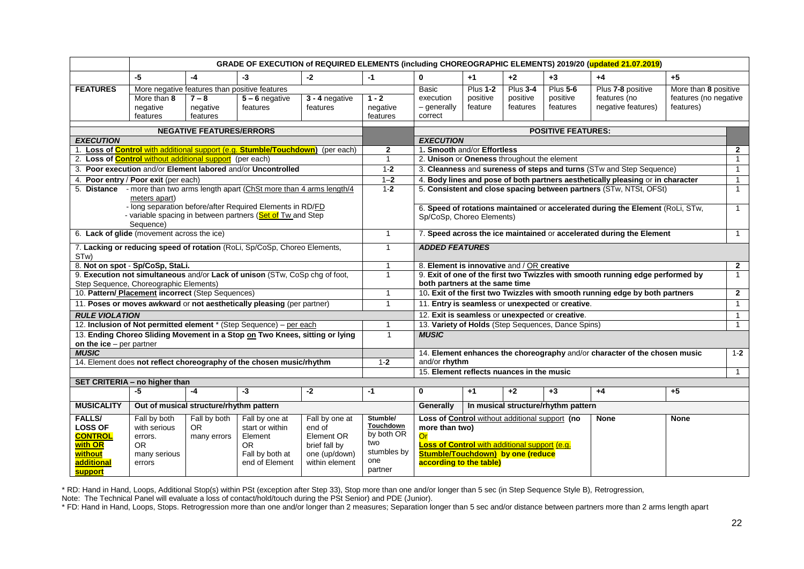| $-5$<br>$-4$<br>$+2$<br>$+5$<br>$-3$<br>$-2$<br>$-1$<br>$\mathbf{0}$<br>$+1$<br>$+3$<br>$+4$<br><b>FEATURES</b><br><b>Plus 1-2</b><br>Plus 3-4<br><b>Plus 5-6</b><br>Plus 7-8 positive<br>More than 8 positive<br>More negative features than positive features<br>Basic<br>3 - 4 negative<br>positive<br>positive<br>positive<br>features (no<br>features (no negative<br>More than 8<br>$7 - 8$<br>$5 - 6$ negative<br>$1 - 2$<br>execution<br>negative features)<br>negative<br>$-$ generally<br>feature<br>features<br>features<br>features)<br>negative<br>negative<br>features<br>features<br>features<br>features<br>features<br>correct |                                                                 |  |  | GRADE OF EXECUTION of REQUIRED ELEMENTS (including CHOREOGRAPHIC ELEMENTS) 2019/20 (updated 21.07.2019) |                                                                              |  |  |  |  |                |                |
|-------------------------------------------------------------------------------------------------------------------------------------------------------------------------------------------------------------------------------------------------------------------------------------------------------------------------------------------------------------------------------------------------------------------------------------------------------------------------------------------------------------------------------------------------------------------------------------------------------------------------------------------------|-----------------------------------------------------------------|--|--|---------------------------------------------------------------------------------------------------------|------------------------------------------------------------------------------|--|--|--|--|----------------|----------------|
|                                                                                                                                                                                                                                                                                                                                                                                                                                                                                                                                                                                                                                                 |                                                                 |  |  |                                                                                                         |                                                                              |  |  |  |  |                |                |
|                                                                                                                                                                                                                                                                                                                                                                                                                                                                                                                                                                                                                                                 |                                                                 |  |  |                                                                                                         |                                                                              |  |  |  |  |                |                |
|                                                                                                                                                                                                                                                                                                                                                                                                                                                                                                                                                                                                                                                 |                                                                 |  |  |                                                                                                         |                                                                              |  |  |  |  |                |                |
|                                                                                                                                                                                                                                                                                                                                                                                                                                                                                                                                                                                                                                                 |                                                                 |  |  |                                                                                                         |                                                                              |  |  |  |  |                |                |
|                                                                                                                                                                                                                                                                                                                                                                                                                                                                                                                                                                                                                                                 |                                                                 |  |  |                                                                                                         |                                                                              |  |  |  |  |                |                |
|                                                                                                                                                                                                                                                                                                                                                                                                                                                                                                                                                                                                                                                 |                                                                 |  |  |                                                                                                         |                                                                              |  |  |  |  |                |                |
| <b>NEGATIVE FEATURES/ERRORS</b><br><b>POSITIVE FEATURES:</b><br><b>EXECUTION</b><br><b>EXECUTION</b>                                                                                                                                                                                                                                                                                                                                                                                                                                                                                                                                            |                                                                 |  |  |                                                                                                         |                                                                              |  |  |  |  |                |                |
| 1. Loss of <b>Control</b> with additional support (e.g. <b>Stumble/Touchdown</b> ) (per each)<br>1. Smooth and/or Effortless<br>$\mathbf{2}$                                                                                                                                                                                                                                                                                                                                                                                                                                                                                                    |                                                                 |  |  |                                                                                                         |                                                                              |  |  |  |  |                | $\mathbf{2}$   |
| 2. Unison or Oneness throughout the element<br>$\mathbf{1}$<br>$\overline{1}$                                                                                                                                                                                                                                                                                                                                                                                                                                                                                                                                                                   | 2. Loss of <b>Control</b> without additional support (per each) |  |  |                                                                                                         |                                                                              |  |  |  |  |                |                |
| 3. Poor execution and/or Element labored and/or Uncontrolled<br>3. Cleanness and sureness of steps and turns (STw and Step Sequence)<br>$1 - 2$                                                                                                                                                                                                                                                                                                                                                                                                                                                                                                 |                                                                 |  |  |                                                                                                         |                                                                              |  |  |  |  | $\overline{1}$ |                |
| 4. Body lines and pose of both partners aesthetically pleasing or in character<br>4. Poor entry / Poor exit (per each)<br>$1 - 2$                                                                                                                                                                                                                                                                                                                                                                                                                                                                                                               |                                                                 |  |  |                                                                                                         |                                                                              |  |  |  |  |                | $\overline{1}$ |
| 5. Distance - more than two arms length apart (ChSt more than 4 arms length/4<br>5. Consistent and close spacing between partners (STw, NTSt, OFSt)<br>$1 - 2$                                                                                                                                                                                                                                                                                                                                                                                                                                                                                  |                                                                 |  |  |                                                                                                         |                                                                              |  |  |  |  |                | $\overline{1}$ |
| meters apart)                                                                                                                                                                                                                                                                                                                                                                                                                                                                                                                                                                                                                                   |                                                                 |  |  |                                                                                                         |                                                                              |  |  |  |  |                |                |
| - long separation before/after Required Elements in RD/FD<br>6. Speed of rotations maintained or accelerated during the Element (RoLi, STw,                                                                                                                                                                                                                                                                                                                                                                                                                                                                                                     |                                                                 |  |  |                                                                                                         |                                                                              |  |  |  |  |                | $\mathbf{1}$   |
| - variable spacing in between partners (Set of Tw and Step<br>Sp/CoSp, Choreo Elements)                                                                                                                                                                                                                                                                                                                                                                                                                                                                                                                                                         |                                                                 |  |  |                                                                                                         |                                                                              |  |  |  |  |                |                |
| Sequence)                                                                                                                                                                                                                                                                                                                                                                                                                                                                                                                                                                                                                                       |                                                                 |  |  |                                                                                                         |                                                                              |  |  |  |  |                |                |
| 7. Speed across the ice maintained or accelerated during the Element<br>$\mathbf{1}$                                                                                                                                                                                                                                                                                                                                                                                                                                                                                                                                                            | 6. Lack of glide (movement across the ice)                      |  |  |                                                                                                         |                                                                              |  |  |  |  |                | $\overline{1}$ |
| 7. Lacking or reducing speed of rotation (RoLi, Sp/CoSp, Choreo Elements,<br><b>ADDED FEATURES</b><br>$\mathbf{1}$<br>STw)                                                                                                                                                                                                                                                                                                                                                                                                                                                                                                                      |                                                                 |  |  |                                                                                                         |                                                                              |  |  |  |  |                |                |
| 8. Not on spot - Sp/CoSp, StaLi.<br>8. Element is innovative and / OR creative<br>$\mathbf{1}$                                                                                                                                                                                                                                                                                                                                                                                                                                                                                                                                                  |                                                                 |  |  |                                                                                                         |                                                                              |  |  |  |  |                | $\overline{2}$ |
| 9. Execution not simultaneous and/or Lack of unison (STw, CoSp chg of foot,<br>9. Exit of one of the first two Twizzles with smooth running edge performed by<br>$\mathbf{1}$                                                                                                                                                                                                                                                                                                                                                                                                                                                                   |                                                                 |  |  |                                                                                                         | $\mathbf{1}$                                                                 |  |  |  |  |                |                |
| Step Sequence, Choreographic Elements)<br>both partners at the same time                                                                                                                                                                                                                                                                                                                                                                                                                                                                                                                                                                        |                                                                 |  |  |                                                                                                         |                                                                              |  |  |  |  |                |                |
| 10. Pattern/ Placement incorrect (Step Sequences)<br>$\mathbf{1}$                                                                                                                                                                                                                                                                                                                                                                                                                                                                                                                                                                               |                                                                 |  |  |                                                                                                         | 10. Exit of the first two Twizzles with smooth running edge by both partners |  |  |  |  | $\overline{2}$ |                |
| 11. Poses or moves awkward or not aesthetically pleasing (per partner)<br>$\mathbf{1}$<br>11. Entry is seamless or unexpected or creative.                                                                                                                                                                                                                                                                                                                                                                                                                                                                                                      |                                                                 |  |  |                                                                                                         |                                                                              |  |  |  |  | $\overline{1}$ |                |
| <b>RULE VIOLATION</b><br>12. Exit is seamless or unexpected or creative.                                                                                                                                                                                                                                                                                                                                                                                                                                                                                                                                                                        |                                                                 |  |  |                                                                                                         |                                                                              |  |  |  |  |                | $\overline{1}$ |
| 12. Inclusion of Not permitted element * (Step Sequence) - per each<br>13. Variety of Holds (Step Sequences, Dance Spins)<br>1                                                                                                                                                                                                                                                                                                                                                                                                                                                                                                                  |                                                                 |  |  |                                                                                                         |                                                                              |  |  |  |  |                | $\mathbf{1}$   |
| 13. Ending Choreo Sliding Movement in a Stop on Two Knees, sitting or lying<br>$\mathbf{1}$<br><b>MUSIC</b>                                                                                                                                                                                                                                                                                                                                                                                                                                                                                                                                     |                                                                 |  |  |                                                                                                         |                                                                              |  |  |  |  |                |                |
| on the $ice$ – per partner                                                                                                                                                                                                                                                                                                                                                                                                                                                                                                                                                                                                                      |                                                                 |  |  |                                                                                                         |                                                                              |  |  |  |  |                |                |
| <b>MUSIC</b><br>14. Element enhances the choreography and/or character of the chosen music                                                                                                                                                                                                                                                                                                                                                                                                                                                                                                                                                      |                                                                 |  |  |                                                                                                         |                                                                              |  |  |  |  |                | $1 - 2$        |
| and/or rhythm<br>14. Element does not reflect choreography of the chosen music/rhythm<br>$1-2$                                                                                                                                                                                                                                                                                                                                                                                                                                                                                                                                                  |                                                                 |  |  |                                                                                                         |                                                                              |  |  |  |  |                |                |
| 15. Element reflects nuances in the music                                                                                                                                                                                                                                                                                                                                                                                                                                                                                                                                                                                                       |                                                                 |  |  |                                                                                                         |                                                                              |  |  |  |  |                | $\mathbf{1}$   |
| SET CRITERIA - no higher than<br>-5<br>$-3$<br>$-2$<br>$-1$<br>$\mathbf 0$<br>$+2$<br>$+3$<br>$+5$                                                                                                                                                                                                                                                                                                                                                                                                                                                                                                                                              |                                                                 |  |  |                                                                                                         |                                                                              |  |  |  |  |                |                |
| $-4$<br>$+1$<br>$+4$                                                                                                                                                                                                                                                                                                                                                                                                                                                                                                                                                                                                                            |                                                                 |  |  |                                                                                                         |                                                                              |  |  |  |  |                |                |
| <b>MUSICALITY</b><br>Out of musical structure/rhythm pattern<br>Generally<br>In musical structure/rhythm pattern                                                                                                                                                                                                                                                                                                                                                                                                                                                                                                                                |                                                                 |  |  |                                                                                                         |                                                                              |  |  |  |  |                |                |
| <b>FALLS/</b><br>Stumble/<br>Loss of Control without additional support (no<br>Fall by both<br>Fall by one at<br>Fall by both<br>Fall by one at<br><b>None</b><br><b>None</b>                                                                                                                                                                                                                                                                                                                                                                                                                                                                   |                                                                 |  |  |                                                                                                         |                                                                              |  |  |  |  |                |                |
| Touchdown<br><b>LOSS OF</b><br>more than two)<br>with serious<br>OR.<br>start or within<br>end of                                                                                                                                                                                                                                                                                                                                                                                                                                                                                                                                               |                                                                 |  |  |                                                                                                         |                                                                              |  |  |  |  |                |                |
| by both OR<br><b>CONTROL</b><br>Element<br>Element OR<br>Or<br>errors.<br>many errors                                                                                                                                                                                                                                                                                                                                                                                                                                                                                                                                                           |                                                                 |  |  |                                                                                                         |                                                                              |  |  |  |  |                |                |
| two<br><b>OR</b><br>Loss of Control with additional support (e.g.<br>with OR<br>OR.<br>brief fall by                                                                                                                                                                                                                                                                                                                                                                                                                                                                                                                                            |                                                                 |  |  |                                                                                                         |                                                                              |  |  |  |  |                |                |
| stumbles by<br><b>Stumble/Touchdown)</b> by one (reduce<br>one (up/down)<br>without<br>many serious<br>Fall by both at<br>one                                                                                                                                                                                                                                                                                                                                                                                                                                                                                                                   |                                                                 |  |  |                                                                                                         |                                                                              |  |  |  |  |                |                |
| according to the table)<br>additional<br>within element<br>end of Element<br>errors<br>partner<br><b>support</b>                                                                                                                                                                                                                                                                                                                                                                                                                                                                                                                                |                                                                 |  |  |                                                                                                         |                                                                              |  |  |  |  |                |                |

\* RD: Hand in Hand, Loops, Additional Stop(s) within PSt (exception after Step 33), Stop more than one and/or longer than 5 sec (in Step Sequence Style B), Retrogression,

Note: The Technical Panel will evaluate a loss of contact/hold/touch during the PSt Senior) and PDE (Junior).

\* FD: Hand in Hand, Loops, Stops. Retrogression more than one and/or longer than 2 measures; Separation longer than 5 sec and/or distance between partners more than 2 arms length apart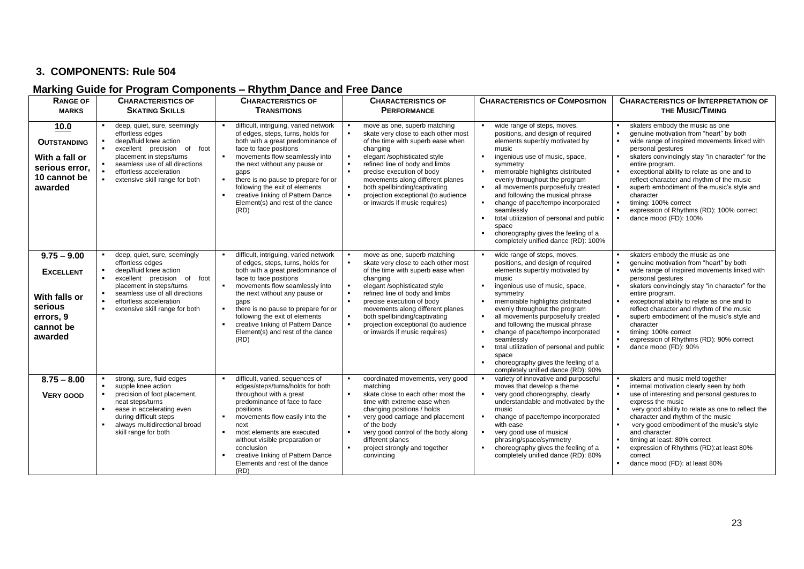# **3. COMPONENTS: Rule 504**

# **Marking Guide for Program Components – Rhythm Dance and Free Dance**

| <b>RANGE OF</b>                                                                                    | <b>CHARACTERISTICS OF</b>                                                                                                                                                                                                                                      | <b>CHARACTERISTICS OF</b>                                                                                                                                                                                                                                                                                                                                                                                          | <b>CHARACTERISTICS OF</b>                                                                                                                                                                                                                                                                                                                                        | <b>CHARACTERISTICS OF COMPOSITION</b>                                                                                                                                                                                                                                                                                                                                                                                                                                                                      | <b>CHARACTERISTICS OF INTERPRETATION OF</b>                                                                                                                                                                                                                                                                                                                                                                                                                                |
|----------------------------------------------------------------------------------------------------|----------------------------------------------------------------------------------------------------------------------------------------------------------------------------------------------------------------------------------------------------------------|--------------------------------------------------------------------------------------------------------------------------------------------------------------------------------------------------------------------------------------------------------------------------------------------------------------------------------------------------------------------------------------------------------------------|------------------------------------------------------------------------------------------------------------------------------------------------------------------------------------------------------------------------------------------------------------------------------------------------------------------------------------------------------------------|------------------------------------------------------------------------------------------------------------------------------------------------------------------------------------------------------------------------------------------------------------------------------------------------------------------------------------------------------------------------------------------------------------------------------------------------------------------------------------------------------------|----------------------------------------------------------------------------------------------------------------------------------------------------------------------------------------------------------------------------------------------------------------------------------------------------------------------------------------------------------------------------------------------------------------------------------------------------------------------------|
| <b>MARKS</b>                                                                                       | <b>SKATING SKILLS</b>                                                                                                                                                                                                                                          | <b>TRANSITIONS</b>                                                                                                                                                                                                                                                                                                                                                                                                 | <b>PERFORMANCE</b>                                                                                                                                                                                                                                                                                                                                               |                                                                                                                                                                                                                                                                                                                                                                                                                                                                                                            | <b>THE MUSIC/TIMING</b>                                                                                                                                                                                                                                                                                                                                                                                                                                                    |
| 10.0<br><b>OUTSTANDING</b><br>With a fall or<br>serious error,<br>10 cannot be<br>awarded          | deep, quiet, sure, seemingly<br>effortless edges<br>deep/fluid knee action<br>excellent precision of<br>foot<br>placement in steps/turns<br>seamless use of all directions<br>effortless acceleration<br>extensive skill range for both<br>٠                   | difficult, intriguing, varied network<br>of edges, steps, turns, holds for<br>both with a great predominance of<br>face to face positions<br>movements flow seamlessly into<br>$\blacksquare$<br>the next without any pause or<br>gaps<br>there is no pause to prepare for or<br>$\blacksquare$<br>following the exit of elements<br>creative linking of Pattern Dance<br>Element(s) and rest of the dance<br>(RD) | move as one, superb matching<br>skate very close to each other most<br>of the time with superb ease when<br>changing<br>elegant /sophisticated style<br>refined line of body and limbs<br>precise execution of body<br>movements along different planes<br>both spellbinding/captivating<br>projection exceptional (to audience<br>or inwards if music requires) | wide range of steps, moves,<br>positions, and design of required<br>elements superbly motivated by<br>music<br>ingenious use of music, space,<br>symmetry<br>memorable highlights distributed<br>evenly throughout the program<br>all movements purposefully created<br>and following the musical phrase<br>change of pace/tempo incorporated<br>٠.<br>seamlessly<br>total utilization of personal and public<br>space<br>choreography gives the feeling of a<br>٠.<br>completely unified dance (RD): 100% | skaters embody the music as one<br>genuine motivation from "heart" by both<br>wide range of inspired movements linked with<br>personal gestures<br>skaters convincingly stay "in character" for the<br>entire program.<br>exceptional ability to relate as one and to<br>reflect character and rhythm of the music<br>superb embodiment of the music's style and<br>character<br>timing: 100% correct<br>expression of Rhythms (RD): 100% correct<br>dance mood (FD): 100% |
| $9.75 - 9.00$<br><b>EXCELLENT</b><br>With falls or<br>serious<br>errors, 9<br>cannot be<br>awarded | deep, quiet, sure, seemingly<br>effortless edges<br>deep/fluid knee action<br>$\bullet$<br>excellent precision of foot<br>placement in steps/turns<br>seamless use of all directions<br>$\bullet$<br>effortless acceleration<br>extensive skill range for both | difficult, intriguing, varied network<br>of edges, steps, turns, holds for<br>both with a great predominance of<br>face to face positions<br>movements flow seamlessly into<br>the next without any pause or<br>gaps<br>there is no pause to prepare for or<br>following the exit of elements<br>creative linking of Pattern Dance<br>Element(s) and rest of the dance<br>(RD)                                     | move as one, superb matching<br>skate very close to each other most<br>of the time with superb ease when<br>changing<br>elegant /sophisticated style<br>refined line of body and limbs<br>precise execution of body<br>movements along different planes<br>both spellbinding/captivating<br>projection exceptional (to audience<br>or inwards if music requires) | wide range of steps, moves,<br>positions, and design of required<br>elements superbly motivated by<br>music<br>ingenious use of music, space,<br>symmetry<br>memorable highlights distributed<br>evenly throughout the program<br>all movements purposefully created<br>and following the musical phrase<br>change of pace/tempo incorporated<br>seamlessly<br>total utilization of personal and public<br>space<br>choreography gives the feeling of a<br>л.<br>completely unified dance (RD): 90%        | skaters embody the music as one<br>genuine motivation from "heart" by both<br>wide range of inspired movements linked with<br>personal gestures<br>skaters convincingly stay "in character" for the<br>entire program.<br>exceptional ability to relate as one and to<br>reflect character and rhythm of the music<br>superb embodiment of the music's style and<br>character<br>timing: 100% correct<br>expression of Rhythms (RD): 90% correct<br>dance mood (FD): 90%   |
| $8.75 - 8.00$<br><b>VERY GOOD</b>                                                                  | strong, sure, fluid edges<br>supple knee action<br>precision of foot placement,<br>neat steps/turns<br>ease in accelerating even<br>$\bullet$<br>during difficult steps<br>always multidirectional broad<br>skill range for both                               | difficult, varied, sequences of<br>edges/steps/turns/holds for both<br>throughout with a great<br>predominance of face to face<br>positions<br>movements flow easily into the<br>next<br>most elements are executed<br>$\blacksquare$<br>without visible preparation or<br>conclusion<br>creative linking of Pattern Dance<br>Elements and rest of the dance<br>(RD)                                               | coordinated movements, very good<br>matching<br>skate close to each other most the<br>time with extreme ease when<br>changing positions / holds<br>very good carriage and placement<br>of the body<br>very good control of the body along<br>different planes<br>project strongly and together<br>convincing                                                     | variety of innovative and purposeful<br>moves that develop a theme<br>very good choreography, clearly<br>understandable and motivated by the<br>music<br>change of pace/tempo incorporated<br>٠<br>with ease<br>very good use of musical<br>$\blacksquare$<br>phrasing/space/symmetry<br>choreography gives the feeling of a<br>completely unified dance (RD): 80%                                                                                                                                         | skaters and music meld together<br>internal motivation clearly seen by both<br>use of interesting and personal gestures to<br>express the music<br>very good ability to relate as one to reflect the<br>character and rhythm of the music<br>very good embodiment of the music's style<br>and character<br>timing at least: 80% correct<br>expression of Rhythms (RD): at least 80%<br>correct<br>dance mood (FD): at least 80%                                            |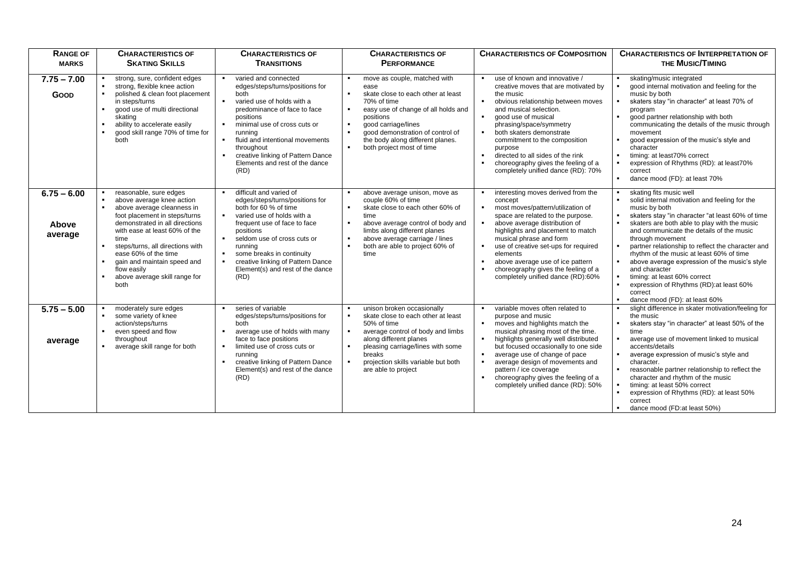| <b>RANGE OF</b>                   | <b>CHARACTERISTICS OF</b>                                                                                                                                                                                                                                                                                                                                          | <b>CHARACTERISTICS OF</b>                                                                                                                                                                                                                                                                                                                                                         | <b>CHARACTERISTICS OF</b>                                                                                                                                                                                                                                                                                                                                                 | <b>CHARACTERISTICS OF COMPOSITION</b>                                                                                                                                                                                                                                                                                                                                                                                                                | <b>CHARACTERISTICS OF INTERPRETATION OF</b>                                                                                                                                                                                                                                                                                                                                                                                                                                                                                                              |
|-----------------------------------|--------------------------------------------------------------------------------------------------------------------------------------------------------------------------------------------------------------------------------------------------------------------------------------------------------------------------------------------------------------------|-----------------------------------------------------------------------------------------------------------------------------------------------------------------------------------------------------------------------------------------------------------------------------------------------------------------------------------------------------------------------------------|---------------------------------------------------------------------------------------------------------------------------------------------------------------------------------------------------------------------------------------------------------------------------------------------------------------------------------------------------------------------------|------------------------------------------------------------------------------------------------------------------------------------------------------------------------------------------------------------------------------------------------------------------------------------------------------------------------------------------------------------------------------------------------------------------------------------------------------|----------------------------------------------------------------------------------------------------------------------------------------------------------------------------------------------------------------------------------------------------------------------------------------------------------------------------------------------------------------------------------------------------------------------------------------------------------------------------------------------------------------------------------------------------------|
| <b>MARKS</b>                      | <b>SKATING SKILLS</b>                                                                                                                                                                                                                                                                                                                                              | <b>TRANSITIONS</b>                                                                                                                                                                                                                                                                                                                                                                | <b>PERFORMANCE</b>                                                                                                                                                                                                                                                                                                                                                        |                                                                                                                                                                                                                                                                                                                                                                                                                                                      | <b>THE MUSIC/TIMING</b>                                                                                                                                                                                                                                                                                                                                                                                                                                                                                                                                  |
| $7.75 - 7.00$<br>Goop             | strong, sure, confident edges<br>strong, flexible knee action<br>polished & clean foot placement<br>in steps/turns<br>good use of multi directional<br>٠<br>skating<br>ability to accelerate easily<br>good skill range 70% of time for<br>$\blacksquare$<br>both                                                                                                  | varied and connected<br>л.<br>edges/steps/turns/positions for<br>both<br>varied use of holds with a<br>$\blacksquare$<br>predominance of face to face<br>positions<br>minimal use of cross cuts or<br>$\blacksquare$<br>running<br>fluid and intentional movements<br>$\blacksquare$<br>throughout<br>creative linking of Pattern Dance<br>Elements and rest of the dance<br>(RD) | move as couple, matched with<br>٠.<br>ease<br>$\blacksquare$<br>skate close to each other at least<br>70% of time<br>easy use of change of all holds and<br>$\blacksquare$<br>positions<br>$\blacksquare$<br>good carriage/lines<br>$\blacksquare$<br>good demonstration of control of<br>the body along different planes.<br>both project most of time<br>$\blacksquare$ | use of known and innovative /<br>creative moves that are motivated by<br>the music<br>obvious relationship between moves<br>$\blacksquare$<br>and musical selection.<br>good use of musical<br>$\blacksquare$<br>phrasing/space/symmetry<br>both skaters demonstrate<br>commitment to the composition<br>purpose<br>directed to all sides of the rink<br>$\blacksquare$<br>choreography gives the feeling of a<br>completely unified dance (RD): 70% | skating/music integrated<br>good internal motivation and feeling for the<br>music by both<br>skaters stay "in character" at least 70% of<br>program<br>good partner relationship with both<br>communicating the details of the music through<br>movement<br>good expression of the music's style and<br>character<br>timing: at least70% correct<br>expression of Rhythms (RD): at least70%<br>correct<br>dance mood (FD): at least 70%                                                                                                                  |
| $6.75 - 6.00$<br>Above<br>average | reasonable, sure edges<br>above average knee action<br>$\blacksquare$<br>above average cleanness in<br>foot placement in steps/turns<br>demonstrated in all directions<br>with ease at least 60% of the<br>time<br>steps/turns, all directions with<br>ease 60% of the time<br>gain and maintain speed and<br>flow easily<br>above average skill range for<br>both | difficult and varied of<br>edges/steps/turns/positions for<br>both for 60 % of time<br>varied use of holds with a<br>л.<br>frequent use of face to face<br>positions<br>seldom use of cross cuts or<br>running<br>some breaks in continuity<br>$\blacksquare$<br>creative linking of Pattern Dance<br>$\blacksquare$<br>Element(s) and rest of the dance<br>(RD)                  | above average unison, move as<br>п.<br>couple 60% of time<br>skate close to each other 60% of<br>$\blacksquare$<br>time<br>above average control of body and<br>$\blacksquare$<br>limbs along different planes<br>above average carriage / lines<br>$\blacksquare$<br>both are able to project 60% of<br>$\blacksquare$<br>time                                           | interesting moves derived from the<br>concept<br>most moves/pattern/utilization of<br>л.<br>space are related to the purpose.<br>above average distribution of<br>highlights and placement to match<br>musical phrase and form<br>use of creative set-ups for required<br>elements<br>above average use of ice pattern<br>$\blacksquare$<br>choreography gives the feeling of a<br>$\blacksquare$<br>completely unified dance (RD):60%               | skating fits music well<br>solid internal motivation and feeling for the<br>music by both<br>skaters stay "in character "at least 60% of time<br>skaters are both able to play with the music<br>and communicate the details of the music<br>through movement<br>partner relationship to reflect the character and<br>rhythm of the music at least 60% of time<br>above average expression of the music's style<br>and character<br>timing: at least 60% correct<br>expression of Rhythms (RD): at least 60%<br>correct<br>dance mood (FD): at least 60% |
| $5.75 - 5.00$<br>average          | moderately sure edges<br>some variety of knee<br>action/steps/turns<br>even speed and flow<br>throughout<br>average skill range for both                                                                                                                                                                                                                           | series of variable<br>edges/steps/turns/positions for<br>both<br>average use of holds with many<br>face to face positions<br>limited use of cross cuts or<br>$\blacksquare$<br>running<br>creative linking of Pattern Dance<br>Element(s) and rest of the dance<br>(RD)                                                                                                           | unison broken occasionally<br>skate close to each other at least<br>$\blacksquare$<br>50% of time<br>average control of body and limbs<br>$\blacksquare$<br>along different planes<br>pleasing carriage/lines with some<br>$\blacksquare$<br>breaks<br>projection skills variable but both<br>$\blacksquare$<br>are able to project                                       | variable moves often related to<br>purpose and music<br>moves and highlights match the<br>$\blacksquare$<br>musical phrasing most of the time.<br>highlights generally well distributed<br>but focused occasionally to one side<br>average use of change of pace<br>$\blacksquare$<br>average design of movements and<br>$\blacksquare$<br>pattern / ice coverage<br>choreography gives the feeling of a<br>completely unified dance (RD): 50%       | slight difference in skater motivation/feeling for<br>the music<br>skaters stay "in character" at least 50% of the<br>time<br>average use of movement linked to musical<br>accents/details<br>average expression of music's style and<br>character.<br>reasonable partner relationship to reflect the<br>character and rhythm of the music<br>timing: at least 50% correct<br>expression of Rhythms (RD): at least 50%<br>correct<br>dance mood (FD:at least 50%)                                                                                        |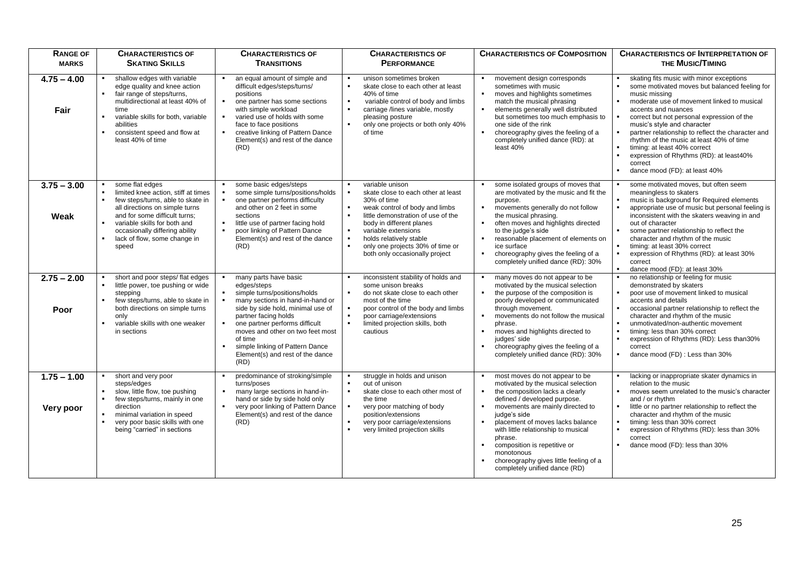| <b>RANGE OF</b>            | <b>CHARACTERISTICS OF</b>                                                                                                                                                                                                                                                                                | <b>CHARACTERISTICS OF</b>                                                                                                                                                                                                                                                                                                             | <b>CHARACTERISTICS OF</b>                                                                                                                                                                                                                                                                                                                                                                                    | <b>CHARACTERISTICS OF COMPOSITION</b>                                                                                                                                                                                                                                                                                                                                                                                                                    | <b>CHARACTERISTICS OF INTERPRETATION OF</b>                                                                                                                                                                                                                                                                                                                                                                                                                                          |
|----------------------------|----------------------------------------------------------------------------------------------------------------------------------------------------------------------------------------------------------------------------------------------------------------------------------------------------------|---------------------------------------------------------------------------------------------------------------------------------------------------------------------------------------------------------------------------------------------------------------------------------------------------------------------------------------|--------------------------------------------------------------------------------------------------------------------------------------------------------------------------------------------------------------------------------------------------------------------------------------------------------------------------------------------------------------------------------------------------------------|----------------------------------------------------------------------------------------------------------------------------------------------------------------------------------------------------------------------------------------------------------------------------------------------------------------------------------------------------------------------------------------------------------------------------------------------------------|--------------------------------------------------------------------------------------------------------------------------------------------------------------------------------------------------------------------------------------------------------------------------------------------------------------------------------------------------------------------------------------------------------------------------------------------------------------------------------------|
| <b>MARKS</b>               | <b>SKATING SKILLS</b>                                                                                                                                                                                                                                                                                    | <b>TRANSITIONS</b>                                                                                                                                                                                                                                                                                                                    | <b>PERFORMANCE</b>                                                                                                                                                                                                                                                                                                                                                                                           |                                                                                                                                                                                                                                                                                                                                                                                                                                                          | <b>THE MUSIC/TIMING</b>                                                                                                                                                                                                                                                                                                                                                                                                                                                              |
| $4.75 - 4.00$<br>Fair      | shallow edges with variable<br>edge quality and knee action<br>fair range of steps/turns.<br>$\blacksquare$<br>multidirectional at least 40% of<br>time<br>variable skills for both, variable<br>$\blacksquare$<br>abilities<br>consistent speed and flow at<br>$\blacksquare$<br>least 40% of time      | an equal amount of simple and<br>difficult edges/steps/turns/<br>positions<br>$\blacksquare$<br>one partner has some sections<br>with simple workload<br>varied use of holds with some<br>face to face positions<br>creative linking of Pattern Dance<br>$\blacksquare$<br>Element(s) and rest of the dance<br>(RD)                   | unison sometimes broken<br>$\blacksquare$<br>$\blacksquare$<br>skate close to each other at least<br>40% of time<br>variable control of body and limbs<br>$\blacksquare$<br>$\blacksquare$<br>carriage /lines variable, mostly<br>pleasing posture<br>$\blacksquare$<br>only one projects or both only 40%<br>of time                                                                                        | movement design corresponds<br>$\blacksquare$<br>sometimes with music<br>moves and highlights sometimes<br>match the musical phrasing<br>elements generally well distributed<br>$\blacksquare$<br>but sometimes too much emphasis to<br>one side of the rink<br>choreography gives the feeling of a<br>completely unified dance (RD): at<br>least 40%                                                                                                    | skating fits music with minor exceptions<br>some motivated moves but balanced feeling for<br>music missing<br>moderate use of movement linked to musical<br>accents and nuances<br>correct but not personal expression of the<br>music's style and character<br>partner relationship to reflect the character and<br>rhythm of the music at least 40% of time<br>timing: at least 40% correct<br>expression of Rhythms (RD): at least40%<br>correct<br>dance mood (FD): at least 40% |
| $3.75 - 3.00$<br>Weak      | some flat edges<br>limited knee action, stiff at times<br>$\bullet$<br>few steps/turns, able to skate in<br>all directions on simple turns<br>and for some difficult turns;<br>variable skills for both and<br>$\blacksquare$<br>occasionally differing ability<br>lack of flow, some change in<br>speed | some basic edges/steps<br>some simple turns/positions/holds<br>one partner performs difficulty<br>$\blacksquare$<br>and other on 2 feet in some<br>sections<br>little use of partner facing hold<br>poor linking of Pattern Dance<br>Element(s) and rest of the dance<br>(RD)                                                         | variable unison<br>$\blacksquare$<br>skate close to each other at least<br>30% of time<br>weak control of body and limbs<br>$\blacksquare$<br>$\blacksquare$<br>little demonstration of use of the<br>body in different planes<br>variable extensions<br>$\blacksquare$<br>$\blacksquare$<br>holds relatively stable<br>$\blacksquare$<br>only one projects 30% of time or<br>both only occasionally project | some isolated groups of moves that<br>are motivated by the music and fit the<br>purpose.<br>movements generally do not follow<br>٠<br>the musical phrasing.<br>often moves and highlights directed<br>$\blacksquare$<br>to the judge's side<br>reasonable placement of elements on<br>٠<br>ice surface<br>choreography gives the feeling of a<br>completely unified dance (RD): 30%                                                                      | some motivated moves, but often seem<br>meaningless to skaters<br>music is background for Required elements<br>appropriate use of music but personal feeling is<br>inconsistent with the skaters weaving in and<br>out of character<br>some partner relationship to reflect the<br>character and rhythm of the music<br>timing: at least 30% correct<br>expression of Rhythms (RD): at least 30%<br>correct<br>dance mood (FD): at least 30%                                         |
| $2.75 - 2.00$<br>Poor      | short and poor steps/ flat edges<br>$\blacksquare$<br>little power, toe pushing or wide<br>stepping<br>few steps/turns, able to skate in<br>$\blacksquare$<br>both directions on simple turns<br>only<br>variable skills with one weaker<br>in sections                                                  | many parts have basic<br>edges/steps<br>simple turns/positions/holds<br>many sections in hand-in-hand or<br>side by side hold, minimal use of<br>partner facing holds<br>one partner performs difficult<br>moves and other on two feet most<br>of time<br>simple linking of Pattern Dance<br>Element(s) and rest of the dance<br>(RD) | inconsistent stability of holds and<br>some unison breaks<br>$\blacksquare$<br>do not skate close to each other<br>most of the time<br>poor control of the body and limbs<br>$\blacksquare$<br>$\bullet$<br>poor carriage/extensions<br>$\blacksquare$<br>limited projection skills, both<br>cautious                                                                                                        | many moves do not appear to be<br>motivated by the musical selection<br>the purpose of the composition is<br>٠<br>poorly developed or communicated<br>through movement.<br>movements do not follow the musical<br>٠<br>phrase.<br>moves and highlights directed to<br>$\blacksquare$<br>judges' side<br>choreography gives the feeling of a<br>completely unified dance (RD): 30%                                                                        | no relationship or feeling for music<br>demonstrated by skaters<br>poor use of movement linked to musical<br>accents and details<br>occasional partner relationship to reflect the<br>character and rhythm of the music<br>unmotivated/non-authentic movement<br>timing: less than 30% correct<br>expression of Rhythms (RD): Less than 30%<br>correct<br>dance mood (FD) : Less than 30%                                                                                            |
| $1.75 - 1.00$<br>Very poor | short and very poor<br>steps/edges<br>$\bullet$<br>slow, little flow, toe pushing<br>$\blacksquare$<br>few steps/turns, mainly in one<br>direction<br>minimal variation in speed<br>very poor basic skills with one<br>$\blacksquare$<br>being "carried" in sections                                     | predominance of stroking/simple<br>turns/poses<br>many large sections in hand-in-<br>hand or side by side hold only<br>very poor linking of Pattern Dance<br>$\blacksquare$<br>Element(s) and rest of the dance<br>(RD)                                                                                                               | struggle in holds and unison<br>$\blacksquare$<br>out of unison<br>$\blacksquare$<br>skate close to each other most of<br>the time<br>$\blacksquare$<br>very poor matching of body<br>position/extensions<br>very poor carriage/extensions<br>$\blacksquare$<br>very limited projection skills                                                                                                               | most moves do not appear to be<br>$\blacksquare$<br>motivated by the musical selection<br>the composition lacks a clearly<br>٠<br>defined / developed purpose.<br>movements are mainly directed to<br>$\blacksquare$<br>judge's side<br>placement of moves lacks balance<br>with little relationship to musical<br>phrase.<br>composition is repetitive or<br>٠<br>monotonous<br>choreography gives little feeling of a<br>completely unified dance (RD) | lacking or inappropriate skater dynamics in<br>relation to the music<br>moves seem unrelated to the music's character<br>and / or rhythm<br>little or no partner relationship to reflect the<br>character and rhythm of the music<br>timing: less than 30% correct<br>expression of Rhythms (RD): less than 30%<br>correct<br>dance mood (FD): less than 30%                                                                                                                         |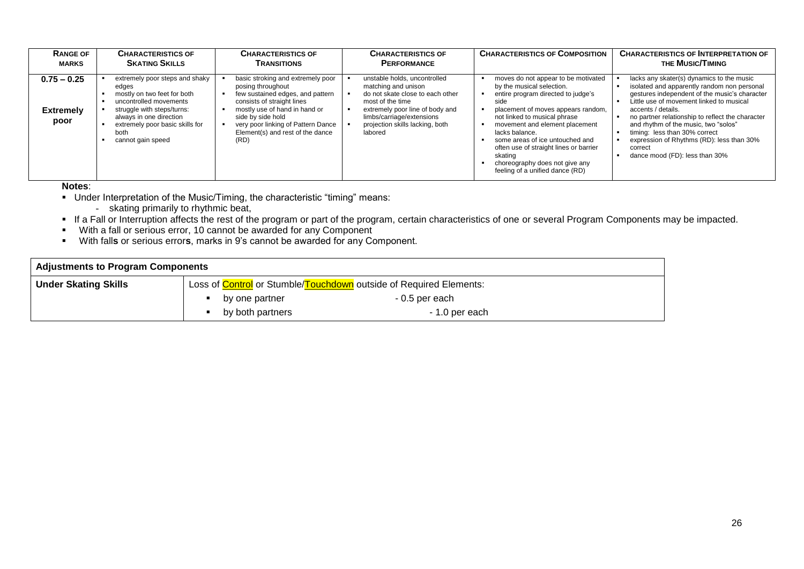| <b>RANGE OF</b>                           | <b>CHARACTERISTICS OF</b>                                                                                                                                                                                                 | <b>CHARACTERISTICS OF</b>                                                                                                                                                                                                                                        | <b>CHARACTERISTICS OF</b>                                                                                                                                                                                                 | <b>CHARACTERISTICS OF COMPOSITION</b>                                                                                                                                                                                                                                                                                                                                                                 | <b>CHARACTERISTICS OF INTERPRETATION OF</b>                                                                                                                                                                                                                                                                                                                                                                                        |
|-------------------------------------------|---------------------------------------------------------------------------------------------------------------------------------------------------------------------------------------------------------------------------|------------------------------------------------------------------------------------------------------------------------------------------------------------------------------------------------------------------------------------------------------------------|---------------------------------------------------------------------------------------------------------------------------------------------------------------------------------------------------------------------------|-------------------------------------------------------------------------------------------------------------------------------------------------------------------------------------------------------------------------------------------------------------------------------------------------------------------------------------------------------------------------------------------------------|------------------------------------------------------------------------------------------------------------------------------------------------------------------------------------------------------------------------------------------------------------------------------------------------------------------------------------------------------------------------------------------------------------------------------------|
| <b>MARKS</b>                              | <b>SKATING SKILLS</b>                                                                                                                                                                                                     | <b>TRANSITIONS</b>                                                                                                                                                                                                                                               | <b>PERFORMANCE</b>                                                                                                                                                                                                        |                                                                                                                                                                                                                                                                                                                                                                                                       | <b>THE MUSIC/TIMING</b>                                                                                                                                                                                                                                                                                                                                                                                                            |
| $0.75 - 0.25$<br><b>Extremely</b><br>poor | extremely poor steps and shaky<br>edges<br>mostly on two feet for both<br>uncontrolled movements<br>struggle with steps/turns:<br>always in one direction<br>extremely poor basic skills for<br>both<br>cannot gain speed | basic stroking and extremely poor<br>posing throughout<br>few sustained edges, and pattern<br>consists of straight lines<br>mostly use of hand in hand or<br>side by side hold<br>very poor linking of Pattern Dance<br>Element(s) and rest of the dance<br>(RD) | unstable holds, uncontrolled<br>matching and unison<br>do not skate close to each other<br>most of the time<br>extremely poor line of body and<br>limbs/carriage/extensions<br>projection skills lacking, both<br>labored | moves do not appear to be motivated<br>by the musical selection.<br>entire program directed to judge's<br>side<br>placement of moves appears random,<br>not linked to musical phrase<br>movement and element placement<br>lacks balance.<br>some areas of ice untouched and<br>often use of straight lines or barrier<br>skating<br>choreography does not give any<br>feeling of a unified dance (RD) | lacks any skater(s) dynamics to the music<br>isolated and apparently random non personal<br>gestures independent of the music's character<br>Little use of movement linked to musical<br>accents / details.<br>no partner relationship to reflect the character<br>and rhythm of the music, two "solos"<br>timing: less than 30% correct<br>expression of Rhythms (RD): less than 30%<br>correct<br>dance mood (FD): less than 30% |

**Notes**:

- Under Interpretation of the Music/Timing, the characteristic "timing" means:
	- skating primarily to rhythmic beat,
- If a Fall or Interruption affects the rest of the program or part of the program, certain characteristics of one or several Program Components may be impacted.
- With a fall or serious error, 10 cannot be awarded for any Component
- With fall**s** or serious error**s**, marks in 9's cannot be awarded for any Component.

| <b>Adjustments to Program Components</b> |                                                                                   |                |  |  |  |  |
|------------------------------------------|-----------------------------------------------------------------------------------|----------------|--|--|--|--|
| <b>Under Skating Skills</b>              | Loss of <b>Control</b> or Stumble/ <b>Touchdown</b> outside of Required Elements: |                |  |  |  |  |
|                                          | by one partner                                                                    | - 0.5 per each |  |  |  |  |
|                                          | by both partners                                                                  | - 1.0 per each |  |  |  |  |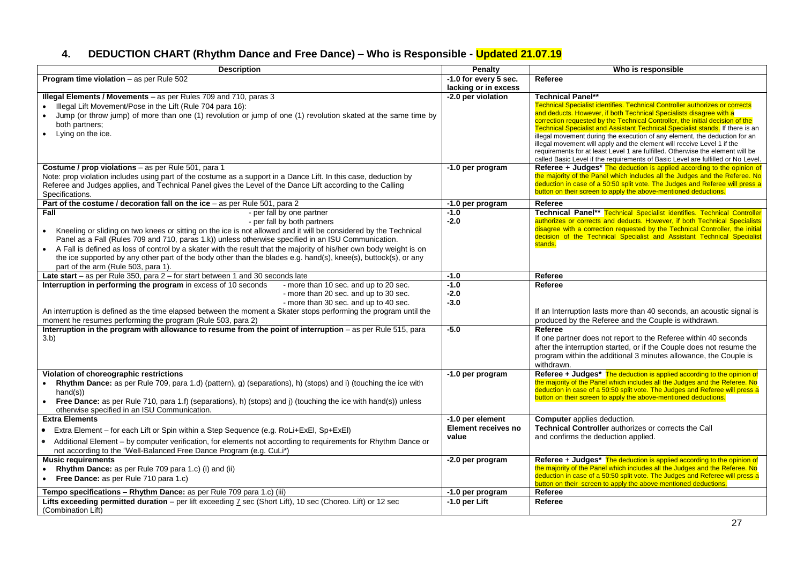# **4. DEDUCTION CHART (Rhythm Dance and Free Dance) – Who is Responsible - Updated 21.07.19**

| <b>Description</b>                                                                                                               | Penalty                             | Who is responsible                                                                                                                                                 |
|----------------------------------------------------------------------------------------------------------------------------------|-------------------------------------|--------------------------------------------------------------------------------------------------------------------------------------------------------------------|
| <b>Program time violation</b> $-$ as per Rule 502                                                                                | $-1.0$ for every $5$ sec.           | Referee                                                                                                                                                            |
|                                                                                                                                  | lacking or in excess                |                                                                                                                                                                    |
| Illegal Elements / Movements - as per Rules 709 and 710, paras 3                                                                 | -2.0 per violation                  | <b>Technical Panel**</b>                                                                                                                                           |
| Illegal Lift Movement/Pose in the Lift (Rule 704 para 16):                                                                       |                                     | <b>Technical Specialist identifies. Technical Controller authorizes or corrects</b>                                                                                |
| Jump (or throw jump) of more than one (1) revolution or jump of one (1) revolution skated at the same time by                    |                                     | and deducts. However, if both Technical Specialists disagree with a<br>correction requested by the Technical Controller, the initial decision of the               |
| both partners:                                                                                                                   |                                     | Technical Specialist and Assistant Technical Specialist stands. If there is an                                                                                     |
| Lying on the ice.                                                                                                                |                                     | illegal movement during the execution of any element, the deduction for an                                                                                         |
|                                                                                                                                  |                                     | illegal movement will apply and the element will receive Level 1 if the                                                                                            |
|                                                                                                                                  |                                     | requirements for at least Level 1 are fulfilled. Otherwise the element will be<br>called Basic Level if the requirements of Basic Level are fulfilled or No Level. |
| Costume / prop violations - as per Rule 501, para 1                                                                              | -1.0 per program                    | Referee + Judges* The deduction is applied according to the opinion of                                                                                             |
| Note: prop violation includes using part of the costume as a support in a Dance Lift. In this case, deduction by                 |                                     | the majority of the Panel which includes all the Judges and the Referee. No                                                                                        |
| Referee and Judges applies, and Technical Panel gives the Level of the Dance Lift according to the Calling                       |                                     | deduction in case of a 50:50 split vote. The Judges and Referee will press a                                                                                       |
| Specifications.                                                                                                                  |                                     | button on their screen to apply the above-mentioned deductions.                                                                                                    |
| Part of the costume / decoration fall on the ice $-$ as per Rule 501, para 2                                                     | -1.0 per program                    | Referee                                                                                                                                                            |
| - per fall by one partner<br>Fall                                                                                                | $-1.0$                              | Technical Panel** Technical Specialist identifies. Technical Controller                                                                                            |
| - per fall by both partners                                                                                                      | $-2.0$                              | authorizes or corrects and deducts. However, if both Technical Specialists                                                                                         |
| Kneeling or sliding on two knees or sitting on the ice is not allowed and it will be considered by the Technical<br>$\bullet$    |                                     | disagree with a correction requested by the Technical Controller, the initial<br>decision of the Technical Specialist and Assistant Technical Specialist           |
| Panel as a Fall (Rules 709 and 710, paras 1.k)) unless otherwise specified in an ISU Communication.                              |                                     | stands.                                                                                                                                                            |
| A Fall is defined as loss of control by a skater with the result that the majority of his/her own body weight is on<br>$\bullet$ |                                     |                                                                                                                                                                    |
| the ice supported by any other part of the body other than the blades e.g. hand(s), knee(s), buttock(s), or any                  |                                     |                                                                                                                                                                    |
| part of the arm (Rule 503, para 1).                                                                                              |                                     |                                                                                                                                                                    |
| Late start - as per Rule 350, para 2 - for start between 1 and 30 seconds late                                                   | $-1.0$                              | Referee                                                                                                                                                            |
| Interruption in performing the program in excess of 10 seconds<br>- more than 10 sec. and up to 20 sec.                          | $-1.0$                              | Referee                                                                                                                                                            |
| - more than 20 sec. and up to 30 sec.<br>- more than 30 sec. and up to 40 sec.                                                   | $-2.0$<br>$-3.0$                    |                                                                                                                                                                    |
| An interruption is defined as the time elapsed between the moment a Skater stops performing the program until the                |                                     | If an Interruption lasts more than 40 seconds, an acoustic signal is                                                                                               |
| moment he resumes performing the program (Rule 503, para 2)                                                                      |                                     | produced by the Referee and the Couple is withdrawn.                                                                                                               |
| Interruption in the program with allowance to resume from the point of interruption – as per Rule 515, para                      | $-5.0$                              | Referee                                                                                                                                                            |
| 3.b)                                                                                                                             |                                     | If one partner does not report to the Referee within 40 seconds                                                                                                    |
|                                                                                                                                  |                                     | after the interruption started, or if the Couple does not resume the                                                                                               |
|                                                                                                                                  |                                     | program within the additional 3 minutes allowance, the Couple is                                                                                                   |
|                                                                                                                                  |                                     | withdrawn.                                                                                                                                                         |
| Violation of choreographic restrictions                                                                                          | -1.0 per program                    | Referee + Judges* The deduction is applied according to the opinion of                                                                                             |
| Rhythm Dance: as per Rule 709, para 1.d) (pattern), g) (separations), h) (stops) and i) (touching the ice with                   |                                     | the majority of the Panel which includes all the Judges and the Referee. No                                                                                        |
| hand(s)                                                                                                                          |                                     | deduction in case of a 50:50 split vote. The Judges and Referee will press a<br>button on their screen to apply the above-mentioned deductions.                    |
| Free Dance: as per Rule 710, para 1.f) (separations), h) (stops) and j) (touching the ice with hand(s)) unless                   |                                     |                                                                                                                                                                    |
| otherwise specified in an ISU Communication.                                                                                     |                                     |                                                                                                                                                                    |
| <b>Extra Elements</b>                                                                                                            | -1.0 per element                    | <b>Computer</b> applies deduction.                                                                                                                                 |
| Extra Element - for each Lift or Spin within a Step Sequence (e.g. RoLi+ExEl, Sp+ExEl)<br>$\bullet$                              | <b>Element receives no</b><br>value | Technical Controller authorizes or corrects the Call                                                                                                               |
| Additional Element - by computer verification, for elements not according to requirements for Rhythm Dance or<br>$\bullet$       |                                     | and confirms the deduction applied.                                                                                                                                |
| not according to the "Well-Balanced Free Dance Program (e.g. CuLi*)                                                              |                                     |                                                                                                                                                                    |
| <b>Music requirements</b>                                                                                                        | -2.0 per program                    | Referee + Judges* The deduction is applied according to the opinion of                                                                                             |
| Rhythm Dance: as per Rule 709 para 1.c) (i) and (ii)<br>$\bullet$                                                                |                                     | the majority of the Panel which includes all the Judges and the Referee. No                                                                                        |
| Free Dance: as per Rule 710 para 1.c)<br>$\bullet$                                                                               |                                     | deduction in case of a 50:50 split vote. The Judges and Referee will press a<br>button on their screen to apply the above mentioned deductions.                    |
| Tempo specifications - Rhythm Dance: as per Rule 709 para 1.c) (iii)                                                             | -1.0 per program                    | Referee                                                                                                                                                            |
| Lifts exceeding permitted duration - per lift exceeding 7 sec (Short Lift), 10 sec (Choreo. Lift) or 12 sec                      | $-1.0$ per Lift                     | Referee                                                                                                                                                            |
| (Combination Lift)                                                                                                               |                                     |                                                                                                                                                                    |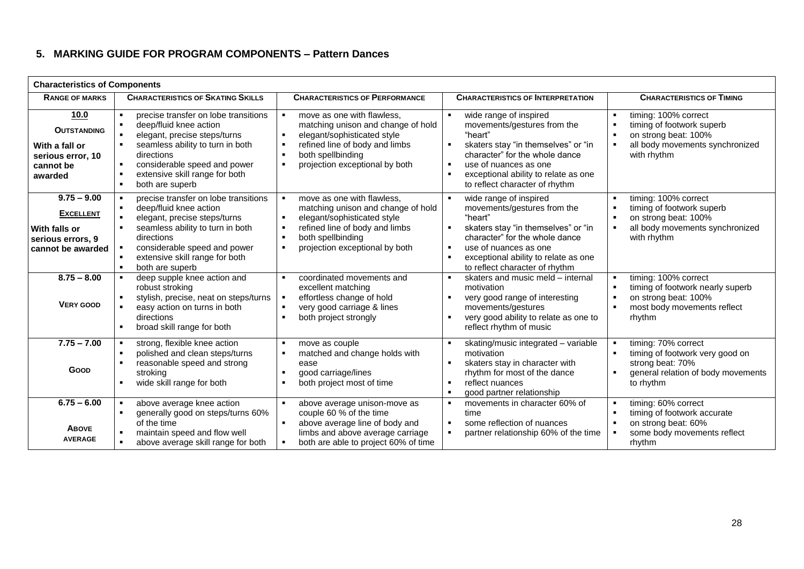# **5. MARKING GUIDE FOR PROGRAM COMPONENTS – Pattern Dances**

| <b>Characteristics of Components</b>                                                         |                                                                                                                                                                                                                                                                           |                                                                                                                                                                                                                                                |                                                                                                                                                                                                                                                                                                                      |                                                                                                                                                                                                     |  |  |  |
|----------------------------------------------------------------------------------------------|---------------------------------------------------------------------------------------------------------------------------------------------------------------------------------------------------------------------------------------------------------------------------|------------------------------------------------------------------------------------------------------------------------------------------------------------------------------------------------------------------------------------------------|----------------------------------------------------------------------------------------------------------------------------------------------------------------------------------------------------------------------------------------------------------------------------------------------------------------------|-----------------------------------------------------------------------------------------------------------------------------------------------------------------------------------------------------|--|--|--|
| <b>RANGE OF MARKS</b>                                                                        | <b>CHARACTERISTICS OF SKATING SKILLS</b>                                                                                                                                                                                                                                  | <b>CHARACTERISTICS OF PERFORMANCE</b>                                                                                                                                                                                                          | <b>CHARACTERISTICS OF INTERPRETATION</b>                                                                                                                                                                                                                                                                             | <b>CHARACTERISTICS OF TIMING</b>                                                                                                                                                                    |  |  |  |
| 10.0<br><b>OUTSTANDING</b><br>With a fall or<br>serious error, 10<br>cannot be<br>awarded    | precise transfer on lobe transitions<br>deep/fluid knee action<br>elegant, precise steps/turns<br>seamless ability to turn in both<br>directions<br>considerable speed and power<br>extensive skill range for both<br>both are superb<br>$\blacksquare$                   | move as one with flawless.<br>matching unison and change of hold<br>elegant/sophisticated style<br>refined line of body and limbs<br>$\blacksquare$<br>both spellbinding<br>projection exceptional by both<br>$\blacksquare$                   | wide range of inspired<br>$\blacksquare$<br>movements/gestures from the<br>"heart"<br>skaters stay "in themselves" or "in<br>$\blacksquare$<br>character" for the whole dance<br>use of nuances as one<br>$\blacksquare$<br>exceptional ability to relate as one<br>$\blacksquare$<br>to reflect character of rhythm | timing: 100% correct<br>$\blacksquare$<br>$\blacksquare$<br>timing of footwork superb<br>$\blacksquare$<br>on strong beat: 100%<br>all body movements synchronized<br>$\blacksquare$<br>with rhythm |  |  |  |
| $9.75 - 9.00$<br><b>EXCELLENT</b><br>With falls or<br>serious errors, 9<br>cannot be awarded | precise transfer on lobe transitions<br>$\blacksquare$<br>deep/fluid knee action<br>elegant, precise steps/turns<br>seamless ability to turn in both<br>directions<br>considerable speed and power<br>extensive skill range for both<br>both are superb<br>$\blacksquare$ | move as one with flawless.<br>matching unison and change of hold<br>elegant/sophisticated style<br>$\blacksquare$<br>refined line of body and limbs<br>$\blacksquare$<br>both spellbinding<br>projection exceptional by both<br>$\blacksquare$ | wide range of inspired<br>$\blacksquare$<br>movements/gestures from the<br>"heart"<br>skaters stay "in themselves" or "in<br>$\blacksquare$<br>character" for the whole dance<br>use of nuances as one<br>$\blacksquare$<br>exceptional ability to relate as one<br>$\blacksquare$<br>to reflect character of rhythm | timing: 100% correct<br>$\blacksquare$<br>$\blacksquare$<br>timing of footwork superb<br>$\blacksquare$<br>on strong beat: 100%<br>$\blacksquare$<br>all body movements synchronized<br>with rhythm |  |  |  |
| $8.75 - 8.00$<br><b>VERY GOOD</b>                                                            | deep supple knee action and<br>$\blacksquare$<br>robust stroking<br>stylish, precise, neat on steps/turns<br>easy action on turns in both<br>directions<br>broad skill range for both<br>$\blacksquare$                                                                   | coordinated movements and<br>excellent matching<br>effortless change of hold<br>very good carriage & lines<br>$\blacksquare$<br>both project strongly                                                                                          | skaters and music meld - internal<br>$\blacksquare$<br>motivation<br>very good range of interesting<br>$\blacksquare$<br>movements/gestures<br>very good ability to relate as one to<br>$\blacksquare$<br>reflect rhythm of music                                                                                    | timing: 100% correct<br>$\blacksquare$<br>timing of footwork nearly superb<br>$\blacksquare$<br>on strong beat: 100%<br>$\blacksquare$<br>$\blacksquare$<br>most body movements reflect<br>rhythm   |  |  |  |
| $7.75 - 7.00$<br>GOOD                                                                        | strong, flexible knee action<br>polished and clean steps/turns<br>reasonable speed and strong<br>stroking<br>wide skill range for both                                                                                                                                    | move as couple<br>matched and change holds with<br>$\blacksquare$<br>ease<br>good carriage/lines<br>$\blacksquare$<br>both project most of time<br>$\blacksquare$                                                                              | skating/music integrated - variable<br>$\blacksquare$<br>motivation<br>skaters stay in character with<br>$\blacksquare$<br>rhythm for most of the dance<br>reflect nuances<br>$\blacksquare$<br>good partner relationship<br>$\blacksquare$                                                                          | timing: 70% correct<br>$\blacksquare$<br>timing of footwork very good on<br>strong beat: 70%<br>general relation of body movements<br>to rhythm                                                     |  |  |  |
| $6.75 - 6.00$<br><b>ABOVE</b><br><b>AVERAGE</b>                                              | above average knee action<br>generally good on steps/turns 60%<br>of the time<br>maintain speed and flow well<br>above average skill range for both                                                                                                                       | above average unison-move as<br>couple 60 % of the time<br>above average line of body and<br>limbs and above average carriage<br>both are able to project 60% of time                                                                          | movements in character 60% of<br>$\blacksquare$<br>time<br>some reflection of nuances<br>$\blacksquare$<br>partner relationship 60% of the time<br>$\blacksquare$                                                                                                                                                    | timing: 60% correct<br>$\blacksquare$<br>timing of footwork accurate<br>on strong beat: 60%<br>$\blacksquare$<br>some body movements reflect<br>rhythm                                              |  |  |  |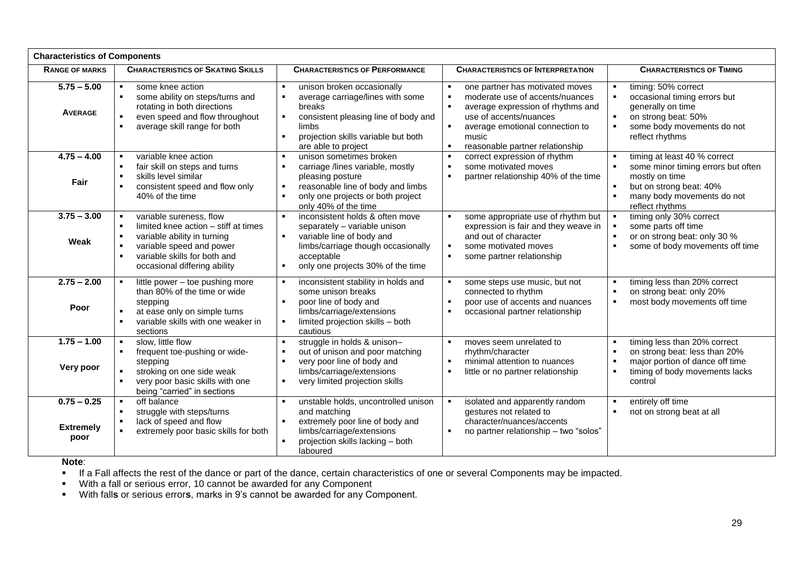| <b>Characteristics of Components</b>      |                                                                                                                                                                                                              |                                                                                                                                                                                                                                         |                                                                                                                                                                                                                                                                                          |                                                                                                                                                                                                                          |  |  |  |
|-------------------------------------------|--------------------------------------------------------------------------------------------------------------------------------------------------------------------------------------------------------------|-----------------------------------------------------------------------------------------------------------------------------------------------------------------------------------------------------------------------------------------|------------------------------------------------------------------------------------------------------------------------------------------------------------------------------------------------------------------------------------------------------------------------------------------|--------------------------------------------------------------------------------------------------------------------------------------------------------------------------------------------------------------------------|--|--|--|
| <b>RANGE OF MARKS</b>                     | <b>CHARACTERISTICS OF SKATING SKILLS</b>                                                                                                                                                                     | <b>CHARACTERISTICS OF PERFORMANCE</b>                                                                                                                                                                                                   | <b>CHARACTERISTICS OF INTERPRETATION</b>                                                                                                                                                                                                                                                 | <b>CHARACTERISTICS OF TIMING</b>                                                                                                                                                                                         |  |  |  |
| $5.75 - 5.00$<br><b>AVERAGE</b>           | some knee action<br>$\blacksquare$<br>some ability on steps/turns and<br>$\blacksquare$<br>rotating in both directions<br>even speed and flow throughout<br>average skill range for both<br>$\blacksquare$   | unison broken occasionally<br>average carriage/lines with some<br>breaks<br>consistent pleasing line of body and<br>limbs<br>projection skills variable but both<br>are able to project                                                 | one partner has motivated moves<br>$\blacksquare$<br>moderate use of accents/nuances<br>$\blacksquare$<br>average expression of rhythms and<br>use of accents/nuances<br>$\blacksquare$<br>average emotional connection to<br>music<br>reasonable partner relationship<br>$\blacksquare$ | timing: 50% correct<br>$\blacksquare$<br>$\blacksquare$<br>occasional timing errors but<br>generally on time<br>$\blacksquare$<br>on strong beat: 50%<br>some body movements do not<br>$\blacksquare$<br>reflect rhythms |  |  |  |
| $4.75 - 4.00$<br>Fair                     | variable knee action<br>fair skill on steps and turns<br>$\blacksquare$<br>skills level similar<br>$\blacksquare$<br>consistent speed and flow only<br>40% of the time                                       | unison sometimes broken<br>$\blacksquare$<br>$\blacksquare$<br>carriage /lines variable, mostly<br>pleasing posture<br>reasonable line of body and limbs<br>$\blacksquare$<br>only one projects or both project<br>only 40% of the time | correct expression of rhythm<br>$\blacksquare$<br>some motivated moves<br>$\blacksquare$<br>$\blacksquare$<br>partner relationship 40% of the time                                                                                                                                       | timing at least 40 % correct<br>$\blacksquare$<br>$\blacksquare$<br>some minor timing errors but often<br>mostly on time<br>but on strong beat: 40%<br>$\blacksquare$<br>many body movements do not<br>reflect rhythms   |  |  |  |
| $3.75 - 3.00$<br>Weak                     | variable sureness, flow<br>limited knee action - stiff at times<br>variable ability in turning<br>$\blacksquare$<br>variable speed and power<br>variable skills for both and<br>occasional differing ability | inconsistent holds & often move<br>separately - variable unison<br>variable line of body and<br>$\blacksquare$<br>limbs/carriage though occasionally<br>acceptable<br>only one projects 30% of the time<br>$\blacksquare$               | some appropriate use of rhythm but<br>$\blacksquare$<br>expression is fair and they weave in<br>and out of character<br>some motivated moves<br>$\blacksquare$<br>$\blacksquare$<br>some partner relationship                                                                            | timing only 30% correct<br>some parts off time<br>$\blacksquare$<br>or on strong beat: only 30 %<br>some of body movements off time<br>$\blacksquare$                                                                    |  |  |  |
| $2.75 - 2.00$<br>Poor                     | little power - toe pushing more<br>than 80% of the time or wide<br>stepping<br>at ease only on simple turns<br>variable skills with one weaker in<br>sections                                                | inconsistent stability in holds and<br>some unison breaks<br>poor line of body and<br>$\blacksquare$<br>limbs/carriage/extensions<br>limited projection skills - both<br>cautious                                                       | some steps use music, but not<br>$\blacksquare$<br>connected to rhythm<br>poor use of accents and nuances<br>$\blacksquare$<br>occasional partner relationship<br>$\blacksquare$                                                                                                         | timing less than 20% correct<br>$\blacksquare$<br>$\blacksquare$<br>on strong beat: only 20%<br>$\blacksquare$<br>most body movements off time                                                                           |  |  |  |
| $1.75 - 1.00$<br>Very poor                | slow, little flow<br>$\bullet$<br>frequent toe-pushing or wide-<br>$\blacksquare$<br>stepping<br>stroking on one side weak<br>very poor basic skills with one<br>being "carried" in sections                 | struggle in holds & unison-<br>out of unison and poor matching<br>$\blacksquare$<br>very poor line of body and<br>limbs/carriage/extensions<br>very limited projection skills                                                           | moves seem unrelated to<br>$\blacksquare$<br>rhythm/character<br>minimal attention to nuances<br>$\blacksquare$<br>little or no partner relationship<br>$\blacksquare$                                                                                                                   | timing less than 20% correct<br>$\blacksquare$<br>on strong beat: less than 20%<br>$\blacksquare$<br>$\blacksquare$<br>major portion of dance off time<br>$\blacksquare$<br>timing of body movements lacks<br>control    |  |  |  |
| $0.75 - 0.25$<br><b>Extremely</b><br>poor | off balance<br>$\bullet$<br>struggle with steps/turns<br>$\blacksquare$<br>lack of speed and flow<br>$\bullet$<br>extremely poor basic skills for both                                                       | unstable holds, uncontrolled unison<br>and matching<br>extremely poor line of body and<br>$\blacksquare$<br>limbs/carriage/extensions<br>projection skills lacking - both<br>laboured                                                   | isolated and apparently random<br>$\blacksquare$<br>gestures not related to<br>character/nuances/accents<br>$\blacksquare$<br>no partner relationship - two "solos"                                                                                                                      | entirely off time<br>$\blacksquare$<br>$\blacksquare$<br>not on strong beat at all                                                                                                                                       |  |  |  |

**Note**:

If a Fall affects the rest of the dance or part of the dance, certain characteristics of one or several Components may be impacted.

With a fall or serious error, 10 cannot be awarded for any Component

With fall**s** or serious error**s**, marks in 9's cannot be awarded for any Component.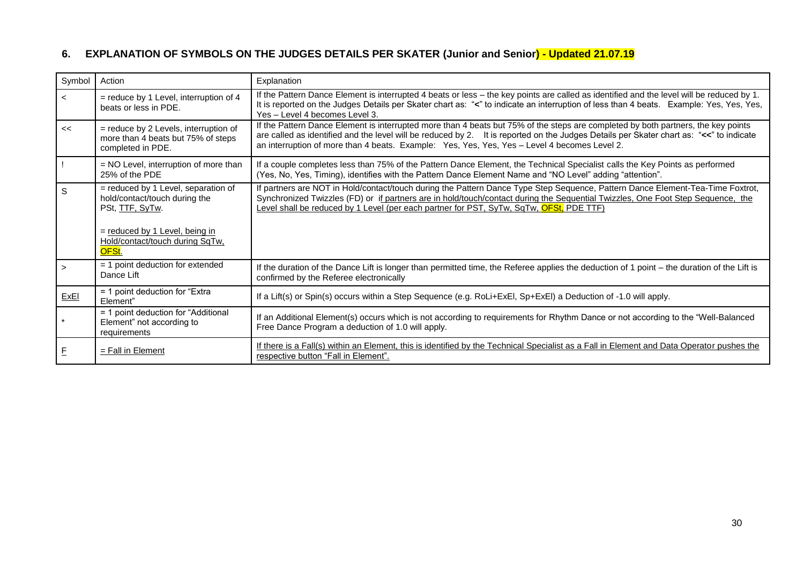# **6. EXPLANATION OF SYMBOLS ON THE JUDGES DETAILS PER SKATER (Junior and Senior) - Updated 21.07.19**

| Symbol      | Action                                                                                                                                                                | Explanation                                                                                                                                                                                                                                                                                                                                                                  |
|-------------|-----------------------------------------------------------------------------------------------------------------------------------------------------------------------|------------------------------------------------------------------------------------------------------------------------------------------------------------------------------------------------------------------------------------------------------------------------------------------------------------------------------------------------------------------------------|
| $\prec$     | $=$ reduce by 1 Level, interruption of 4<br>beats or less in PDE.                                                                                                     | If the Pattern Dance Element is interrupted 4 beats or less - the key points are called as identified and the level will be reduced by 1.<br>It is reported on the Judges Details per Skater chart as: "<" to indicate an interruption of less than 4 beats. Example: Yes, Yes, Yes,<br>Yes - Level 4 becomes Level 3.                                                       |
| <<          | = reduce by 2 Levels, interruption of<br>more than 4 beats but 75% of steps<br>completed in PDE.                                                                      | If the Pattern Dance Element is interrupted more than 4 beats but 75% of the steps are completed by both partners, the key points<br>are called as identified and the level will be reduced by 2. It is reported on the Judges Details per Skater chart as: "<<" to indicate<br>an interruption of more than 4 beats. Example: Yes, Yes, Yes, Yes - Level 4 becomes Level 2. |
|             | = NO Level, interruption of more than<br>25% of the PDE                                                                                                               | If a couple completes less than 75% of the Pattern Dance Element, the Technical Specialist calls the Key Points as performed<br>(Yes, No, Yes, Timing), identifies with the Pattern Dance Element Name and "NO Level" adding "attention".                                                                                                                                    |
| S           | = reduced by 1 Level, separation of<br>hold/contact/touch during the<br>PSt, TTF, SyTw.<br>= reduced by 1 Level, being in<br>Hold/contact/touch during SqTw,<br>OFSt. | If partners are NOT in Hold/contact/touch during the Pattern Dance Type Step Sequence, Pattern Dance Element-Tea-Time Foxtrot,<br>Synchronized Twizzles (FD) or if partners are in hold/touch/contact during the Sequential Twizzles, One Foot Step Sequence, the<br>Level shall be reduced by 1 Level (per each partner for PST, SyTw, SqTw, OFSt, PDE TTF)                 |
|             | $=$ 1 point deduction for extended<br>Dance Lift                                                                                                                      | If the duration of the Dance Lift is longer than permitted time, the Referee applies the deduction of 1 point – the duration of the Lift is<br>confirmed by the Referee electronically                                                                                                                                                                                       |
| ExEl        | = 1 point deduction for "Extra"<br>Element"                                                                                                                           | If a Lift(s) or Spin(s) occurs within a Step Sequence (e.g. RoLi+ExEl, Sp+ExEl) a Deduction of -1.0 will apply.                                                                                                                                                                                                                                                              |
|             | = 1 point deduction for "Additional<br>Element" not according to<br>requirements                                                                                      | If an Additional Element(s) occurs which is not according to requirements for Rhythm Dance or not according to the "Well-Balanced"<br>Free Dance Program a deduction of 1.0 will apply.                                                                                                                                                                                      |
| $\mathsf E$ | $=$ Fall in Element                                                                                                                                                   | If there is a Fall(s) within an Element, this is identified by the Technical Specialist as a Fall in Element and Data Operator pushes the<br>respective button "Fall in Element".                                                                                                                                                                                            |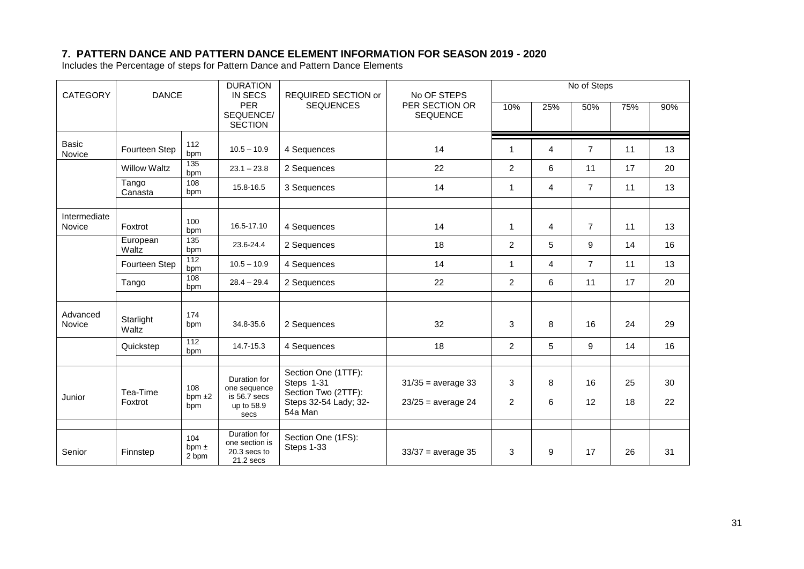# **7. PATTERN DANCE AND PATTERN DANCE ELEMENT INFORMATION FOR SEASON 2019 - 2020**

Includes the Percentage of steps for Pattern Dance and Pattern Dance Elements

| <b>CATEGORY</b>        | <b>DANCE</b>        |                              | <b>DURATION</b><br><b>IN SECS</b>                           | REQUIRED SECTION or                                      | No OF STEPS                       | No of Steps    |                |                |     |     |
|------------------------|---------------------|------------------------------|-------------------------------------------------------------|----------------------------------------------------------|-----------------------------------|----------------|----------------|----------------|-----|-----|
|                        |                     |                              | <b>PER</b><br>SEQUENCE/<br><b>SECTION</b>                   | <b>SEQUENCES</b>                                         | PER SECTION OR<br><b>SEQUENCE</b> | 10%            | 25%            | 50%            | 75% | 90% |
| <b>Basic</b><br>Novice | Fourteen Step       | 112<br>bpm                   | $10.5 - 10.9$                                               | 4 Sequences                                              | 14                                | $\mathbf 1$    | 4              | $\overline{7}$ | 11  | 13  |
|                        | <b>Willow Waltz</b> | 135<br>bpm                   | $23.1 - 23.8$                                               | 2 Sequences                                              | 22                                | $\overline{2}$ | 6              | 11             | 17  | 20  |
|                        | Tango<br>Canasta    | 108<br>bpm                   | 15.8-16.5                                                   | 3 Sequences                                              | 14                                | $\mathbf 1$    | $\overline{4}$ | $\overline{7}$ | 11  | 13  |
| Intermediate<br>Novice | Foxtrot             | 100<br>bpm                   | 16.5-17.10                                                  | 4 Sequences                                              | 14                                | $\mathbf 1$    | 4              | $\overline{7}$ | 11  | 13  |
|                        | European<br>Waltz   | 135<br>bpm                   | 23.6-24.4                                                   | 2 Sequences                                              | 18                                | $\overline{2}$ | 5              | 9              | 14  | 16  |
|                        | Fourteen Step       | 112<br>bpm                   | $10.5 - 10.9$                                               | 4 Sequences                                              | 14                                | $\mathbf{1}$   | 4              | $\overline{7}$ | 11  | 13  |
|                        | Tango               | 108<br>bpm                   | $28.4 - 29.4$                                               | 2 Sequences                                              | 22                                | 2              | 6              | 11             | 17  | 20  |
|                        |                     |                              |                                                             |                                                          |                                   |                |                |                |     |     |
| Advanced<br>Novice     | Starlight<br>Waltz  | 174<br>bpm                   | 34.8-35.6                                                   | 2 Sequences                                              | 32                                | 3              | 8              | 16             | 24  | 29  |
|                        | Quickstep           | $\overline{112}$<br>bpm      | 14.7-15.3                                                   | 4 Sequences                                              | 18                                | $\overline{2}$ | 5              | 9              | 14  | 16  |
|                        |                     |                              |                                                             |                                                          |                                   |                |                |                |     |     |
|                        | Tea-Time            | 108                          | Duration for<br>one sequence                                | Section One (1TTF):<br>Steps 1-31<br>Section Two (2TTF): | $31/35$ = average 33              | 3              | 8              | 16             | 25  | 30  |
| Junior                 | Foxtrot             | $bpm \pm 2$<br>bpm           | is 56.7 secs<br>up to 58.9<br>secs                          | Steps 32-54 Lady; 32-<br>54a Man                         | $23/25$ = average 24              | $\overline{2}$ | 6              | 12             | 18  | 22  |
|                        |                     |                              |                                                             |                                                          |                                   |                |                |                |     |     |
| Senior                 | Finnstep            | 104<br>$b$ pm $\pm$<br>2 bpm | Duration for<br>one section is<br>20.3 secs to<br>21.2 secs | Section One (1FS):<br>Steps 1-33                         | $33/37$ = average 35              | 3              | 9              | 17             | 26  | 31  |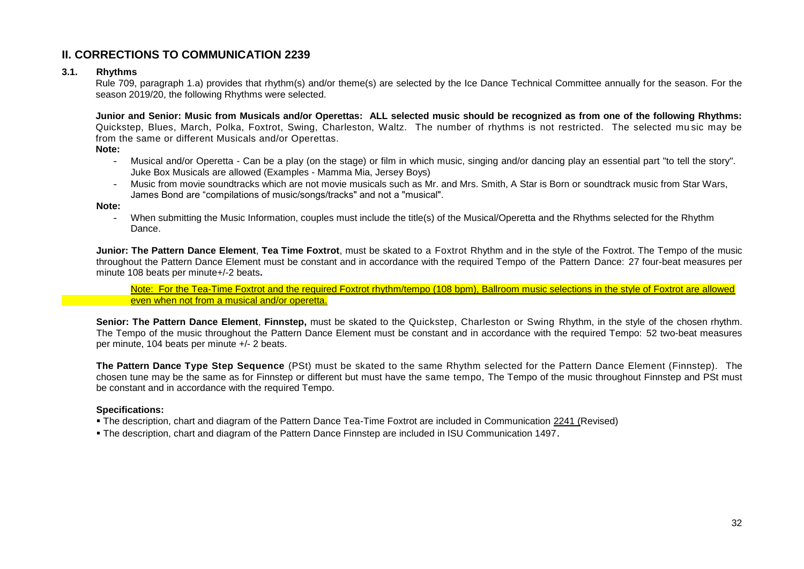# **II. CORRECTIONS TO COMMUNICATION 2239**

#### **3.1. Rhythms**

Rule 709, paragraph 1.a) provides that rhythm(s) and/or theme(s) are selected by the Ice Dance Technical Committee annually for the season. For the season 2019/20, the following Rhythms were selected.

**Junior and Senior: Music from Musicals and/or Operettas: ALL selected music should be recognized as from one of the following Rhythms:**  Quickstep, Blues, March, Polka, Foxtrot, Swing, Charleston, Waltz. The number of rhythms is not restricted. The selected mu sic may be from the same or different Musicals and/or Operettas.

**Note:**

- Musical and/or Operetta Can be a play (on the stage) or film in which music, singing and/or dancing play an essential part "to tell the story". Juke Box Musicals are allowed (Examples - Mamma Mia, Jersey Boys)
- Music from movie soundtracks which are not movie musicals such as Mr. and Mrs. Smith, A Star is Born or soundtrack music from Star Wars, James Bond are "compilations of music/songs/tracks" and not a "musical".

**Note:** 

- When submitting the Music Information, couples must include the title(s) of the Musical/Operetta and the Rhythms selected for the Rhythm Dance.

**Junior: The Pattern Dance Element**, **Tea Time Foxtrot**, must be skated to a Foxtrot Rhythm and in the style of the Foxtrot. The Tempo of the music throughout the Pattern Dance Element must be constant and in accordance with the required Tempo of the Pattern Dance: 27 four-beat measures per minute 108 beats per minute+/-2 beats**.**

Note: For the Tea-Time Foxtrot and the required Foxtrot rhythm/tempo (108 bpm), Ballroom music selections in the style of Foxtrot are allowed even when not from a musical and/or operetta.

**Senior: The Pattern Dance Element**, **Finnstep,** must be skated to the Quickstep, Charleston or Swing Rhythm, in the style of the chosen rhythm. The Tempo of the music throughout the Pattern Dance Element must be constant and in accordance with the required Tempo: 52 two-beat measures per minute, 104 beats per minute +/- 2 beats.

**The Pattern Dance Type Step Sequence** (PSt) must be skated to the same Rhythm selected for the Pattern Dance Element (Finnstep). The chosen tune may be the same as for Finnstep or different but must have the same tempo, The Tempo of the music throughout Finnstep and PSt must be constant and in accordance with the required Tempo.

#### **Specifications:**

- The description, chart and diagram of the Pattern Dance Tea-Time Foxtrot are included in Communication 2241 (Revised)
- The description, chart and diagram of the Pattern Dance Finnstep are included in ISU Communication 1497.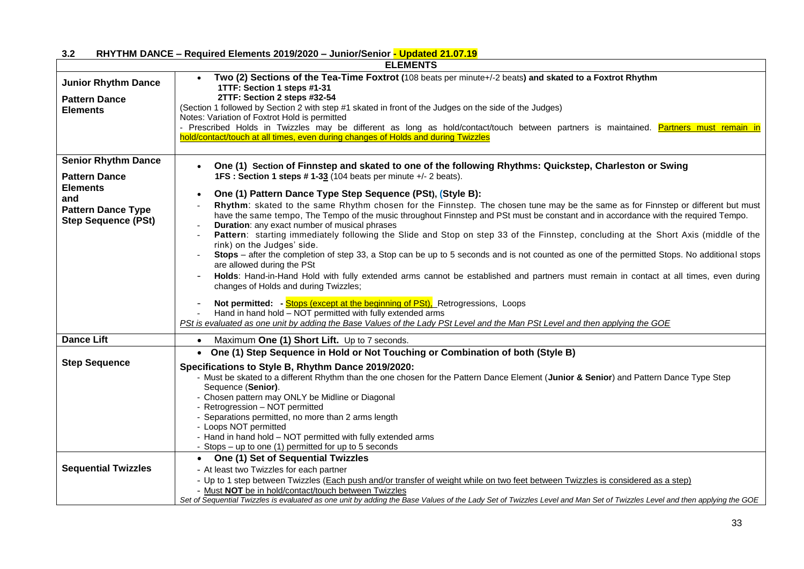|                                                                                   | <b>ELEMENTS</b>                                                                                                                                                                                                                                                                                                                                                                                                                                                                                                                                                                                                                                                                                                                                                                                                                                                                                                                                                                                                                                                                                                                                                                                                         |  |  |  |
|-----------------------------------------------------------------------------------|-------------------------------------------------------------------------------------------------------------------------------------------------------------------------------------------------------------------------------------------------------------------------------------------------------------------------------------------------------------------------------------------------------------------------------------------------------------------------------------------------------------------------------------------------------------------------------------------------------------------------------------------------------------------------------------------------------------------------------------------------------------------------------------------------------------------------------------------------------------------------------------------------------------------------------------------------------------------------------------------------------------------------------------------------------------------------------------------------------------------------------------------------------------------------------------------------------------------------|--|--|--|
| <b>Junior Rhythm Dance</b>                                                        | Two (2) Sections of the Tea-Time Foxtrot (108 beats per minute+/-2 beats) and skated to a Foxtrot Rhythm<br>1TTF: Section 1 steps #1-31                                                                                                                                                                                                                                                                                                                                                                                                                                                                                                                                                                                                                                                                                                                                                                                                                                                                                                                                                                                                                                                                                 |  |  |  |
| <b>Pattern Dance</b><br><b>Elements</b>                                           | 2TTF: Section 2 steps #32-54<br>(Section 1 followed by Section 2 with step #1 skated in front of the Judges on the side of the Judges)<br>Notes: Variation of Foxtrot Hold is permitted<br>- Prescribed Holds in Twizzles may be different as long as hold/contact/touch between partners is maintained. Partners must remain in                                                                                                                                                                                                                                                                                                                                                                                                                                                                                                                                                                                                                                                                                                                                                                                                                                                                                        |  |  |  |
|                                                                                   | hold/contact/touch at all times, even during changes of Holds and during Twizzles                                                                                                                                                                                                                                                                                                                                                                                                                                                                                                                                                                                                                                                                                                                                                                                                                                                                                                                                                                                                                                                                                                                                       |  |  |  |
| <b>Senior Rhythm Dance</b><br><b>Pattern Dance</b>                                | One (1) Section of Finnstep and skated to one of the following Rhythms: Quickstep, Charleston or Swing<br>$\bullet$<br>1FS: Section 1 steps #1-33 (104 beats per minute +/- 2 beats).                                                                                                                                                                                                                                                                                                                                                                                                                                                                                                                                                                                                                                                                                                                                                                                                                                                                                                                                                                                                                                   |  |  |  |
| <b>Elements</b><br>and<br><b>Pattern Dance Type</b><br><b>Step Sequence (PSt)</b> | One (1) Pattern Dance Type Step Sequence (PSt), (Style B):<br>$\bullet$<br>Rhythm: skated to the same Rhythm chosen for the Finnstep. The chosen tune may be the same as for Finnstep or different but must<br>have the same tempo, The Tempo of the music throughout Finnstep and PSt must be constant and in accordance with the required Tempo.<br>Duration: any exact number of musical phrases<br>Pattern: starting immediately following the Slide and Stop on step 33 of the Finnstep, concluding at the Short Axis (middle of the<br>rink) on the Judges' side.<br>Stops – after the completion of step 33, a Stop can be up to 5 seconds and is not counted as one of the permitted Stops. No additional stops<br>are allowed during the PSt<br>Holds: Hand-in-Hand Hold with fully extended arms cannot be established and partners must remain in contact at all times, even during<br>changes of Holds and during Twizzles;<br>Not permitted: - Stops (except at the beginning of PSt), Retrogressions, Loops<br>Hand in hand hold - NOT permitted with fully extended arms<br>PSt is evaluated as one unit by adding the Base Values of the Lady PSt Level and the Man PSt Level and then applying the GOE |  |  |  |
| <b>Dance Lift</b>                                                                 | Maximum One (1) Short Lift. Up to 7 seconds.<br>$\bullet$                                                                                                                                                                                                                                                                                                                                                                                                                                                                                                                                                                                                                                                                                                                                                                                                                                                                                                                                                                                                                                                                                                                                                               |  |  |  |
|                                                                                   | • One (1) Step Sequence in Hold or Not Touching or Combination of both (Style B)                                                                                                                                                                                                                                                                                                                                                                                                                                                                                                                                                                                                                                                                                                                                                                                                                                                                                                                                                                                                                                                                                                                                        |  |  |  |
| <b>Step Sequence</b>                                                              | Specifications to Style B, Rhythm Dance 2019/2020:<br>- Must be skated to a different Rhythm than the one chosen for the Pattern Dance Element (Junior & Senior) and Pattern Dance Type Step<br>Sequence (Senior).<br>- Chosen pattern may ONLY be Midline or Diagonal<br>- Retrogression - NOT permitted<br>- Separations permitted, no more than 2 arms length<br>- Loops NOT permitted<br>- Hand in hand hold - NOT permitted with fully extended arms<br>- Stops – up to one (1) permitted for up to 5 seconds                                                                                                                                                                                                                                                                                                                                                                                                                                                                                                                                                                                                                                                                                                      |  |  |  |
| <b>Sequential Twizzles</b>                                                        | • One (1) Set of Sequential Twizzles<br>- At least two Twizzles for each partner<br>- Up to 1 step between Twizzles (Each push and/or transfer of weight while on two feet between Twizzles is considered as a step)<br>- Must NOT be in hold/contact/touch between Twizzles<br>Set of Sequential Twizzles is evaluated as one unit by adding the Base Values of the Lady Set of Twizzles Level and Man Set of Twizzles Level and then applying the GOE                                                                                                                                                                                                                                                                                                                                                                                                                                                                                                                                                                                                                                                                                                                                                                 |  |  |  |

#### **3.2 RHYTHM DANCE – Required Elements 2019/2020 – Junior/Senior - Updated 21.07.19**